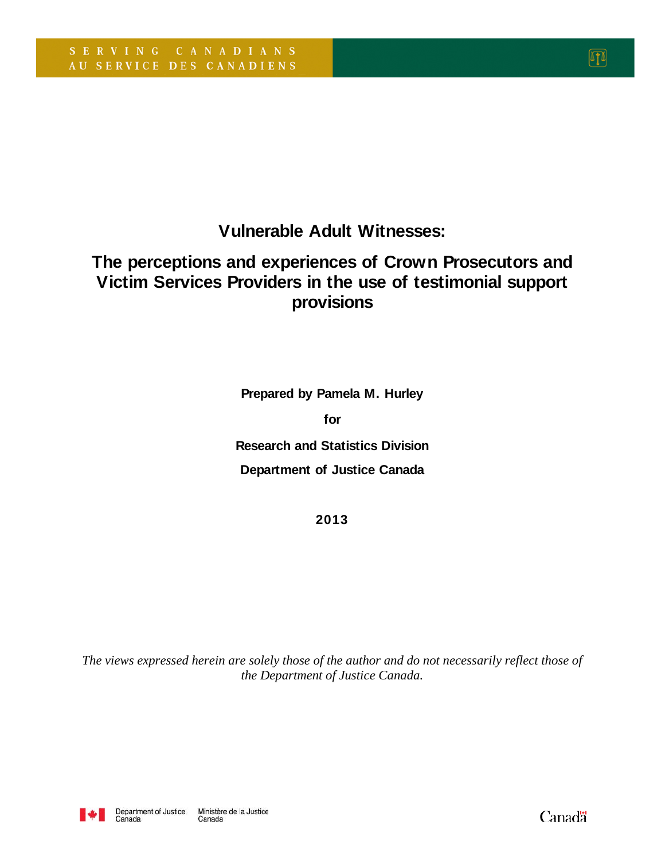**Vulnerable Adult Witnesses:** 

# **The perceptions and experiences of Crown Prosecutors and Victim Services Providers in the use of testimonial support provisions**

**Prepared by Pamela M. Hurley for Research and Statistics Division Department of Justice Canada**

**2013**

*The views expressed herein are solely those of the author and do not necessarily reflect those of the Department of Justice Canada.* 



**Canadä**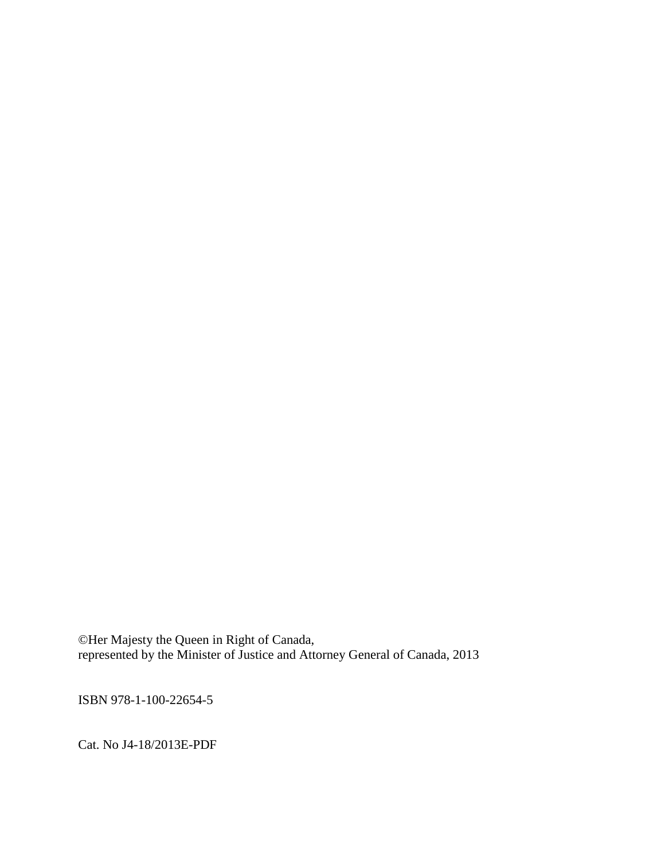©Her Majesty the Queen in Right of Canada, represented by the Minister of Justice and Attorney General of Canada, 2013

ISBN 978-1-100-22654-5

Cat. No J4-18/2013E-PDF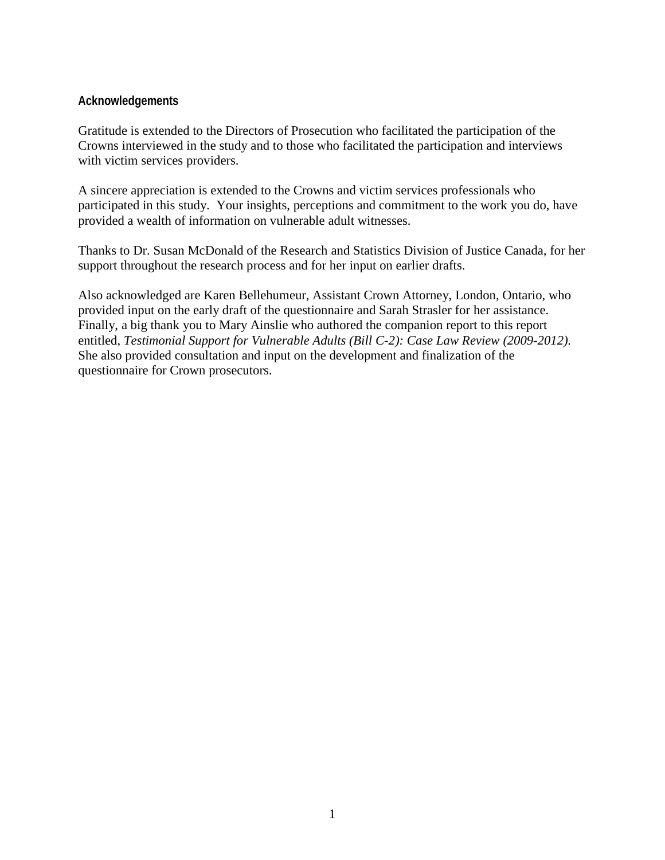#### **Acknowledgements**

Gratitude is extended to the Directors of Prosecution who facilitated the participation of the Crowns interviewed in the study and to those who facilitated the participation and interviews with victim services providers.

A sincere appreciation is extended to the Crowns and victim services professionals who participated in this study. Your insights, perceptions and commitment to the work you do, have provided a wealth of information on vulnerable adult witnesses.

Thanks to Dr. Susan McDonald of the Research and Statistics Division of Justice Canada, for her support throughout the research process and for her input on earlier drafts.

Also acknowledged are Karen Bellehumeur, Assistant Crown Attorney, London, Ontario, who provided input on the early draft of the questionnaire and Sarah Strasler for her assistance. Finally, a big thank you to Mary Ainslie who authored the companion report to this report entitled, *Testimonial Support for Vulnerable Adults (Bill C-2): Case Law Review (2009-2012).* She also provided consultation and input on the development and finalization of the questionnaire for Crown prosecutors.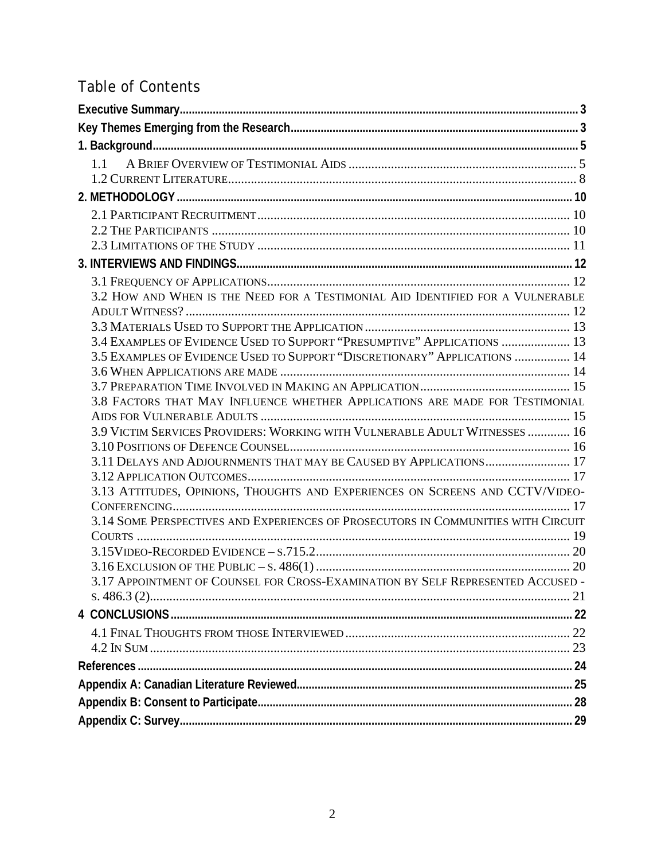# **Table of Contents**

| 3.2 HOW AND WHEN IS THE NEED FOR A TESTIMONIAL AID IDENTIFIED FOR A VULNERABLE    |  |
|-----------------------------------------------------------------------------------|--|
|                                                                                   |  |
|                                                                                   |  |
| 3.4 EXAMPLES OF EVIDENCE USED TO SUPPORT "PRESUMPTIVE" APPLICATIONS  13           |  |
| 3.5 EXAMPLES OF EVIDENCE USED TO SUPPORT "DISCRETIONARY" APPLICATIONS  14         |  |
|                                                                                   |  |
|                                                                                   |  |
| 3.8 FACTORS THAT MAY INFLUENCE WHETHER APPLICATIONS ARE MADE FOR TESTIMONIAL      |  |
|                                                                                   |  |
| 3.9 VICTIM SERVICES PROVIDERS: WORKING WITH VULNERABLE ADULT WITNESSES  16        |  |
| 3.11 DELAYS AND ADJOURNMENTS THAT MAY BE CAUSED BY APPLICATIONS 17                |  |
|                                                                                   |  |
| 3.13 ATTITUDES, OPINIONS, THOUGHTS AND EXPERIENCES ON SCREENS AND CCTV/VIDEO-     |  |
|                                                                                   |  |
| 3.14 SOME PERSPECTIVES AND EXPERIENCES OF PROSECUTORS IN COMMUNITIES WITH CIRCUIT |  |
|                                                                                   |  |
|                                                                                   |  |
|                                                                                   |  |
| 3.17 APPOINTMENT OF COUNSEL FOR CROSS-EXAMINATION BY SELF REPRESENTED ACCUSED -   |  |
|                                                                                   |  |
|                                                                                   |  |
|                                                                                   |  |
|                                                                                   |  |
|                                                                                   |  |
|                                                                                   |  |
|                                                                                   |  |
|                                                                                   |  |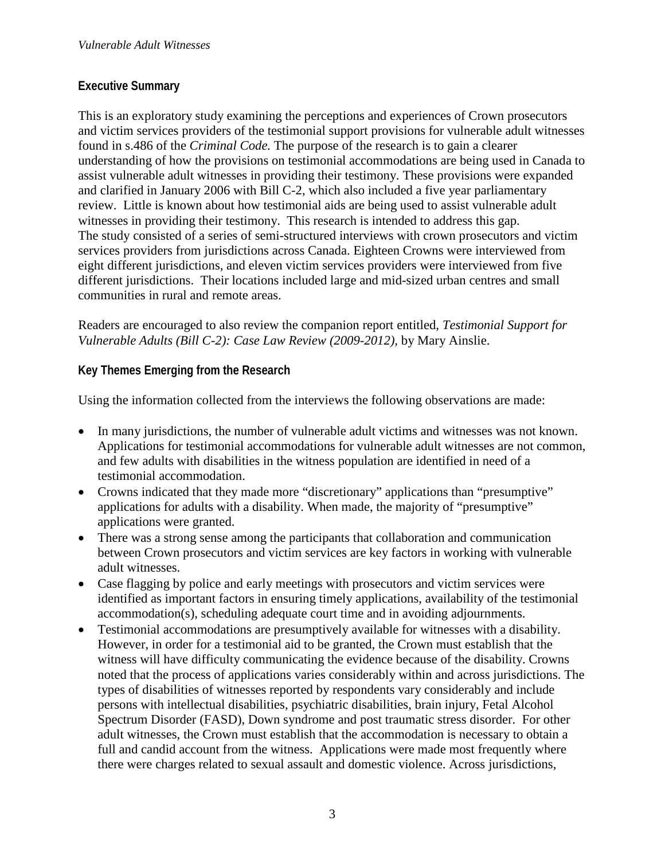## **Executive Summary**

This is an exploratory study examining the perceptions and experiences of Crown prosecutors and victim services providers of the testimonial support provisions for vulnerable adult witnesses found in s.486 of the *Criminal Code.* The purpose of the research is to gain a clearer understanding of how the provisions on testimonial accommodations are being used in Canada to assist vulnerable adult witnesses in providing their testimony. These provisions were expanded and clarified in January 2006 with Bill C-2, which also included a five year parliamentary review. Little is known about how testimonial aids are being used to assist vulnerable adult witnesses in providing their testimony. This research is intended to address this gap. The study consisted of a series of semi-structured interviews with crown prosecutors and victim services providers from jurisdictions across Canada. Eighteen Crowns were interviewed from eight different jurisdictions, and eleven victim services providers were interviewed from five different jurisdictions. Their locations included large and mid-sized urban centres and small communities in rural and remote areas.

Readers are encouraged to also review the companion report entitled, *Testimonial Support for Vulnerable Adults (Bill C-2): Case Law Review (2009-2012),* by Mary Ainslie.

# **Key Themes Emerging from the Research**

Using the information collected from the interviews the following observations are made:

- In many jurisdictions, the number of vulnerable adult victims and witnesses was not known. Applications for testimonial accommodations for vulnerable adult witnesses are not common, and few adults with disabilities in the witness population are identified in need of a testimonial accommodation.
- Crowns indicated that they made more "discretionary" applications than "presumptive" applications for adults with a disability. When made, the majority of "presumptive" applications were granted.
- There was a strong sense among the participants that collaboration and communication between Crown prosecutors and victim services are key factors in working with vulnerable adult witnesses.
- Case flagging by police and early meetings with prosecutors and victim services were identified as important factors in ensuring timely applications, availability of the testimonial accommodation(s), scheduling adequate court time and in avoiding adjournments.
- Testimonial accommodations are presumptively available for witnesses with a disability. However, in order for a testimonial aid to be granted, the Crown must establish that the witness will have difficulty communicating the evidence because of the disability. Crowns noted that the process of applications varies considerably within and across jurisdictions. The types of disabilities of witnesses reported by respondents vary considerably and include persons with intellectual disabilities, psychiatric disabilities, brain injury, Fetal Alcohol Spectrum Disorder (FASD), Down syndrome and post traumatic stress disorder. For other adult witnesses, the Crown must establish that the accommodation is necessary to obtain a full and candid account from the witness. Applications were made most frequently where there were charges related to sexual assault and domestic violence. Across jurisdictions,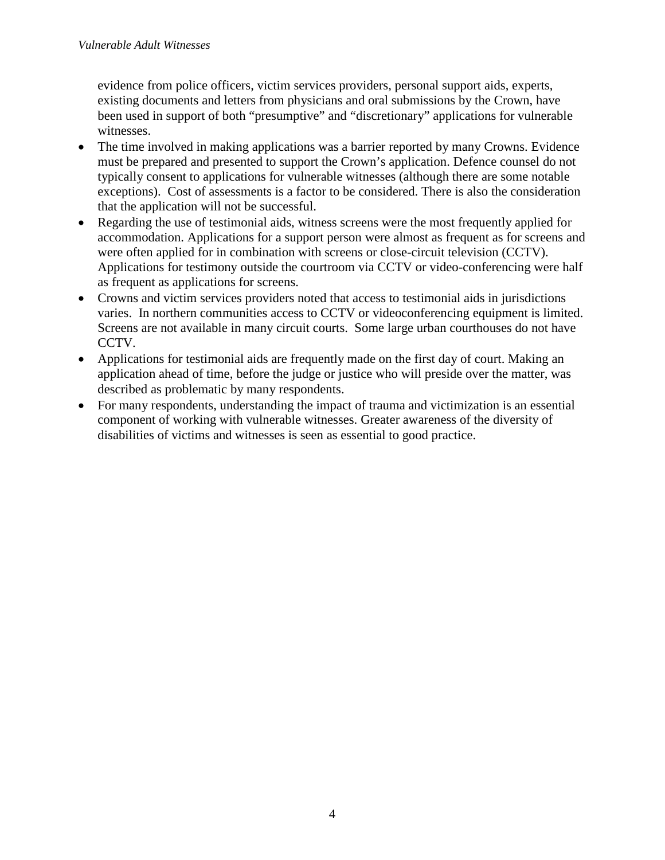evidence from police officers, victim services providers, personal support aids, experts, existing documents and letters from physicians and oral submissions by the Crown, have been used in support of both "presumptive" and "discretionary" applications for vulnerable witnesses.

- The time involved in making applications was a barrier reported by many Crowns. Evidence must be prepared and presented to support the Crown's application. Defence counsel do not typically consent to applications for vulnerable witnesses (although there are some notable exceptions). Cost of assessments is a factor to be considered. There is also the consideration that the application will not be successful.
- Regarding the use of testimonial aids, witness screens were the most frequently applied for accommodation. Applications for a support person were almost as frequent as for screens and were often applied for in combination with screens or close-circuit television (CCTV). Applications for testimony outside the courtroom via CCTV or video-conferencing were half as frequent as applications for screens.
- Crowns and victim services providers noted that access to testimonial aids in jurisdictions varies. In northern communities access to CCTV or videoconferencing equipment is limited. Screens are not available in many circuit courts. Some large urban courthouses do not have CCTV.
- Applications for testimonial aids are frequently made on the first day of court. Making an application ahead of time, before the judge or justice who will preside over the matter, was described as problematic by many respondents.
- For many respondents, understanding the impact of trauma and victimization is an essential component of working with vulnerable witnesses. Greater awareness of the diversity of disabilities of victims and witnesses is seen as essential to good practice.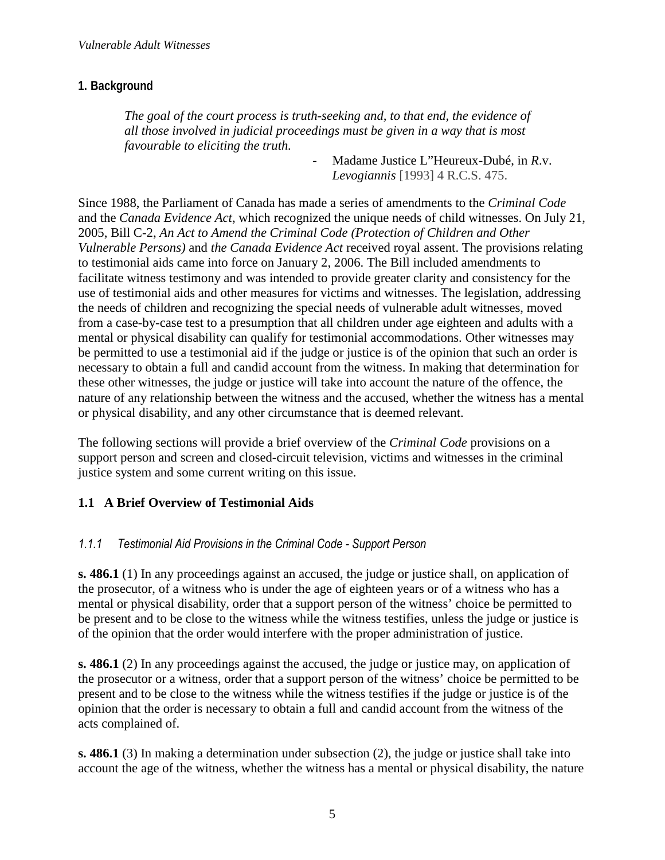## **1. Background**

*The goal of the court process is truth-seeking and, to that end, the evidence of all those involved in judicial proceedings must be given in a way that is most favourable to eliciting the truth.* 

- Madame Justice L"Heureux-Dubé, in *R*.v. *Levogiannis* [1993] 4 R.C.S. 475.

Since 1988, the Parliament of Canada has made a series of amendments to the *Criminal Code* and the *Canada Evidence Act*, which recognized the unique needs of child witnesses. On July 21, 2005, Bill C-2, *An Act to Amend the Criminal Code (Protection of Children and Other Vulnerable Persons)* and *the Canada Evidence Act* received royal assent. The provisions relating to testimonial aids came into force on January 2, 2006. The Bill included amendments to facilitate witness testimony and was intended to provide greater clarity and consistency for the use of testimonial aids and other measures for victims and witnesses. The legislation, addressing the needs of children and recognizing the special needs of vulnerable adult witnesses, moved from a case-by-case test to a presumption that all children under age eighteen and adults with a mental or physical disability can qualify for testimonial accommodations. Other witnesses may be permitted to use a testimonial aid if the judge or justice is of the opinion that such an order is necessary to obtain a full and candid account from the witness. In making that determination for these other witnesses, the judge or justice will take into account the nature of the offence, the nature of any relationship between the witness and the accused, whether the witness has a mental or physical disability, and any other circumstance that is deemed relevant.

The following sections will provide a brief overview of the *Criminal Code* provisions on a support person and screen and closed-circuit television, victims and witnesses in the criminal justice system and some current writing on this issue.

## **1.1 A Brief Overview of Testimonial Aids**

## *1.1.1 Testimonial Aid Provisions in the Criminal Code - Support Person*

**s. 486.1** (1) In any proceedings against an accused, the judge or justice shall, on application of the prosecutor, of a witness who is under the age of eighteen years or of a witness who has a mental or physical disability, order that a support person of the witness' choice be permitted to be present and to be close to the witness while the witness testifies, unless the judge or justice is of the opinion that the order would interfere with the proper administration of justice.

**s. 486.1** (2) In any proceedings against the accused, the judge or justice may, on application of the prosecutor or a witness, order that a support person of the witness' choice be permitted to be present and to be close to the witness while the witness testifies if the judge or justice is of the opinion that the order is necessary to obtain a full and candid account from the witness of the acts complained of.

**s. 486.1** (3) In making a determination under subsection (2), the judge or justice shall take into account the age of the witness, whether the witness has a mental or physical disability, the nature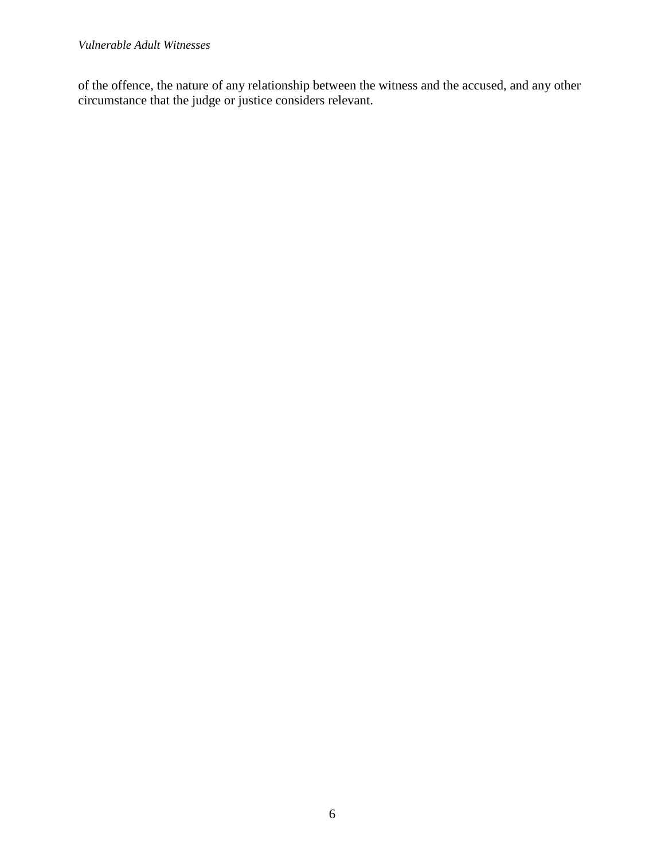of the offence, the nature of any relationship between the witness and the accused, and any other circumstance that the judge or justice considers relevant.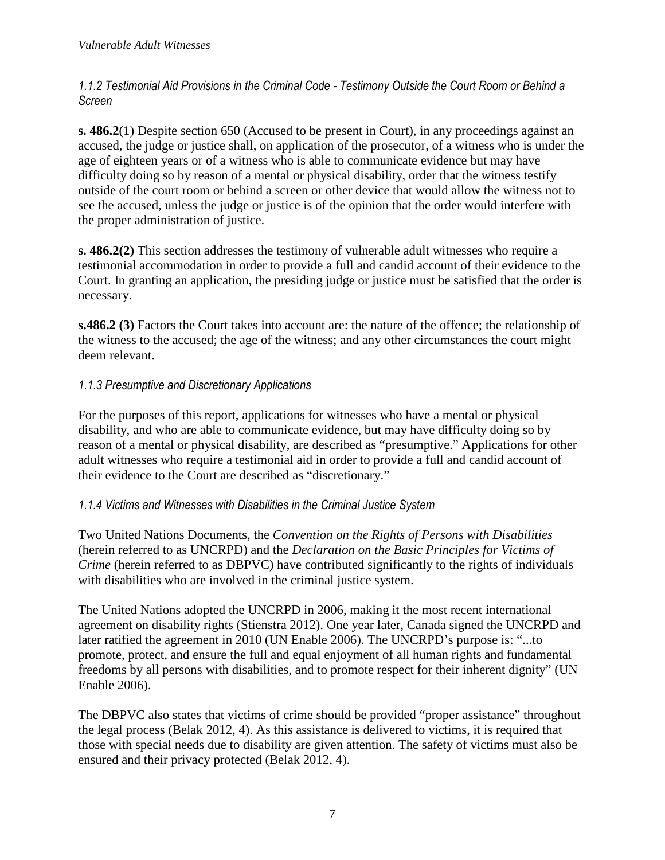*1.1.2 Testimonial Aid Provisions in the Criminal Code - Testimony Outside the Court Room or Behind a Screen*

**s. 486.2**(1) Despite section 650 (Accused to be present in Court), in any proceedings against an accused, the judge or justice shall, on application of the prosecutor, of a witness who is under the age of eighteen years or of a witness who is able to communicate evidence but may have difficulty doing so by reason of a mental or physical disability, order that the witness testify outside of the court room or behind a screen or other device that would allow the witness not to see the accused, unless the judge or justice is of the opinion that the order would interfere with the proper administration of justice.

**s. 486.2(2)** This section addresses the testimony of vulnerable adult witnesses who require a testimonial accommodation in order to provide a full and candid account of their evidence to the Court. In granting an application, the presiding judge or justice must be satisfied that the order is necessary.

**s.486.2 (3)** Factors the Court takes into account are: the nature of the offence; the relationship of the witness to the accused; the age of the witness; and any other circumstances the court might deem relevant.

## *1.1.3 Presumptive and Discretionary Applications*

For the purposes of this report, applications for witnesses who have a mental or physical disability, and who are able to communicate evidence, but may have difficulty doing so by reason of a mental or physical disability, are described as "presumptive." Applications for other adult witnesses who require a testimonial aid in order to provide a full and candid account of their evidence to the Court are described as "discretionary."

## *1.1.4 Victims and Witnesses with Disabilities in the Criminal Justice System*

Two United Nations Documents, the *Convention on the Rights of Persons with Disabilities* (herein referred to as UNCRPD) and the *Declaration on the Basic Principles for Victims of Crime* (herein referred to as DBPVC) have contributed significantly to the rights of individuals with disabilities who are involved in the criminal justice system.

The United Nations adopted the UNCRPD in 2006, making it the most recent international agreement on disability rights (Stienstra 2012). One year later, Canada signed the UNCRPD and later ratified the agreement in 2010 (UN Enable 2006). The UNCRPD's purpose is: "...to promote, protect, and ensure the full and equal enjoyment of all human rights and fundamental freedoms by all persons with disabilities, and to promote respect for their inherent dignity" (UN Enable 2006).

The DBPVC also states that victims of crime should be provided "proper assistance" throughout the legal process (Belak 2012, 4). As this assistance is delivered to victims, it is required that those with special needs due to disability are given attention. The safety of victims must also be ensured and their privacy protected (Belak 2012, 4).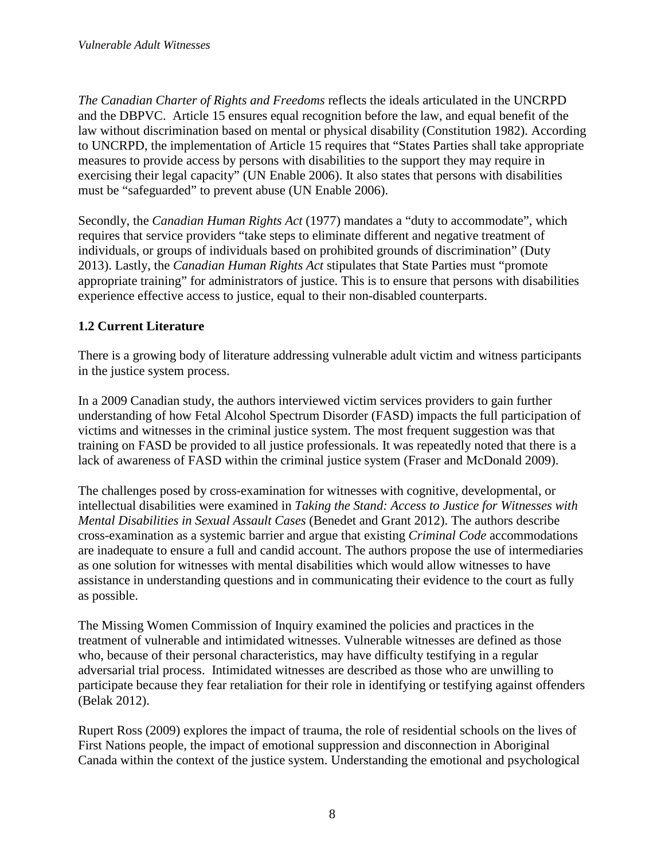*The Canadian Charter of Rights and Freedoms* reflects the ideals articulated in the UNCRPD and the DBPVC. Article 15 ensures equal recognition before the law, and equal benefit of the law without discrimination based on mental or physical disability (Constitution 1982). According to UNCRPD, the implementation of Article 15 requires that "States Parties shall take appropriate measures to provide access by persons with disabilities to the support they may require in exercising their legal capacity" (UN Enable 2006). It also states that persons with disabilities must be "safeguarded" to prevent abuse (UN Enable 2006).

Secondly, the *Canadian Human Rights Act* (1977) mandates a "duty to accommodate", which requires that service providers "take steps to eliminate different and negative treatment of individuals, or groups of individuals based on prohibited grounds of discrimination" (Duty 2013). Lastly, the *Canadian Human Rights Act* stipulates that State Parties must "promote appropriate training" for administrators of justice. This is to ensure that persons with disabilities experience effective access to justice, equal to their non-disabled counterparts.

# **1.2 Current Literature**

There is a growing body of literature addressing vulnerable adult victim and witness participants in the justice system process.

In a 2009 Canadian study, the authors interviewed victim services providers to gain further understanding of how Fetal Alcohol Spectrum Disorder (FASD) impacts the full participation of victims and witnesses in the criminal justice system. The most frequent suggestion was that training on FASD be provided to all justice professionals. It was repeatedly noted that there is a lack of awareness of FASD within the criminal justice system (Fraser and McDonald 2009).

The challenges posed by cross-examination for witnesses with cognitive, developmental, or intellectual disabilities were examined in *Taking the Stand: Access to Justice for Witnesses with Mental Disabilities in Sexual Assault Cases* (Benedet and Grant 2012). The authors describe cross-examination as a systemic barrier and argue that existing *Criminal Code* accommodations are inadequate to ensure a full and candid account. The authors propose the use of intermediaries as one solution for witnesses with mental disabilities which would allow witnesses to have assistance in understanding questions and in communicating their evidence to the court as fully as possible.

The Missing Women Commission of Inquiry examined the policies and practices in the treatment of vulnerable and intimidated witnesses. Vulnerable witnesses are defined as those who, because of their personal characteristics, may have difficulty testifying in a regular adversarial trial process. Intimidated witnesses are described as those who are unwilling to participate because they fear retaliation for their role in identifying or testifying against offenders (Belak 2012).

Rupert Ross (2009) explores the impact of trauma, the role of residential schools on the lives of First Nations people, the impact of emotional suppression and disconnection in Aboriginal Canada within the context of the justice system. Understanding the emotional and psychological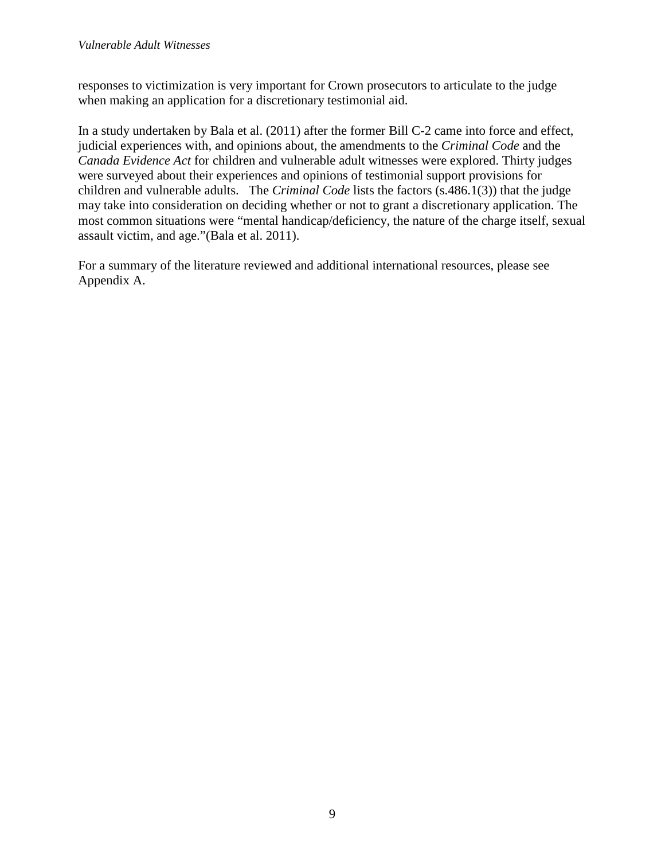responses to victimization is very important for Crown prosecutors to articulate to the judge when making an application for a discretionary testimonial aid.

In a study undertaken by Bala et al. (2011) after the former Bill C-2 came into force and effect, judicial experiences with, and opinions about, the amendments to the *Criminal Code* and the *Canada Evidence Act* for children and vulnerable adult witnesses were explored. Thirty judges were surveyed about their experiences and opinions of testimonial support provisions for children and vulnerable adults. The *Criminal Code* lists the factors (s.486.1(3)) that the judge may take into consideration on deciding whether or not to grant a discretionary application. The most common situations were "mental handicap/deficiency, the nature of the charge itself, sexual assault victim, and age."(Bala et al. 2011).

For a summary of the literature reviewed and additional international resources, please see Appendix A.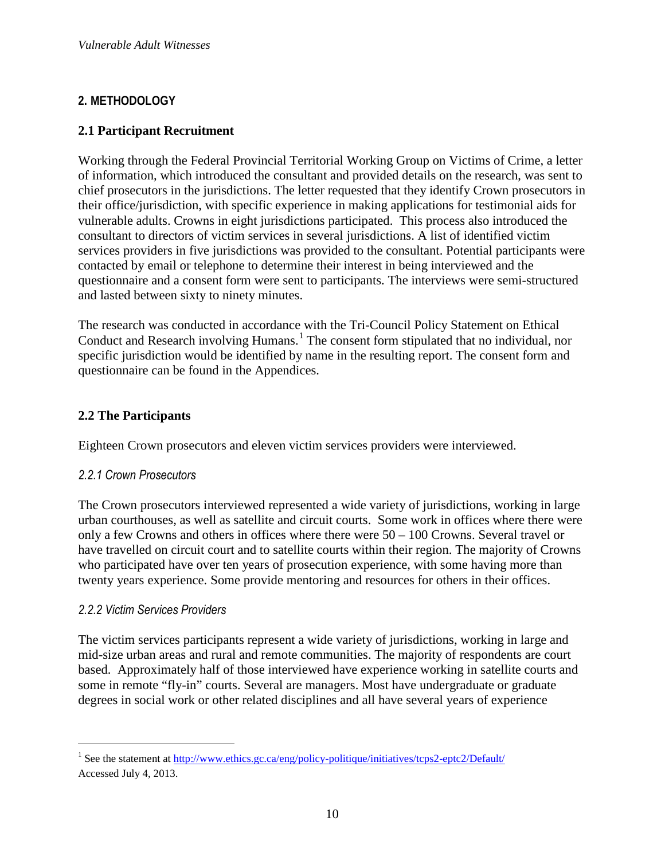# **2. METHODOLOGY**

#### **2.1 Participant Recruitment**

Working through the Federal Provincial Territorial Working Group on Victims of Crime, a letter of information, which introduced the consultant and provided details on the research, was sent to chief prosecutors in the jurisdictions. The letter requested that they identify Crown prosecutors in their office/jurisdiction, with specific experience in making applications for testimonial aids for vulnerable adults. Crowns in eight jurisdictions participated. This process also introduced the consultant to directors of victim services in several jurisdictions. A list of identified victim services providers in five jurisdictions was provided to the consultant. Potential participants were contacted by email or telephone to determine their interest in being interviewed and the questionnaire and a consent form were sent to participants. The interviews were semi-structured and lasted between sixty to ninety minutes.

The research was conducted in accordance with the Tri-Council Policy Statement on Ethical Conduct and Research involving Humans.<sup>1</sup> The consent form stipulated that no individual, nor specific jurisdiction would be identified by name in the resulting report. The consent form and questionnaire can be found in the Appendices.

#### **2.2 The Participants**

Eighteen Crown prosecutors and eleven victim services providers were interviewed.

#### *2.2.1 Crown Prosecutors*

The Crown prosecutors interviewed represented a wide variety of jurisdictions, working in large urban courthouses, as well as satellite and circuit courts. Some work in offices where there were only a few Crowns and others in offices where there were 50 – 100 Crowns. Several travel or have travelled on circuit court and to satellite courts within their region. The majority of Crowns who participated have over ten years of prosecution experience, with some having more than twenty years experience. Some provide mentoring and resources for others in their offices.

#### *2.2.2 Victim Services Providers*

 $\overline{a}$ 

The victim services participants represent a wide variety of jurisdictions, working in large and mid-size urban areas and rural and remote communities. The majority of respondents are court based. Approximately half of those interviewed have experience working in satellite courts and some in remote "fly-in" courts. Several are managers. Most have undergraduate or graduate degrees in social work or other related disciplines and all have several years of experience

<sup>&</sup>lt;sup>1</sup> See the statement at http://www.ethics.gc.ca/eng/policy-politique/initiatives/tcps2-eptc2/Default/ Accessed July 4, 2013.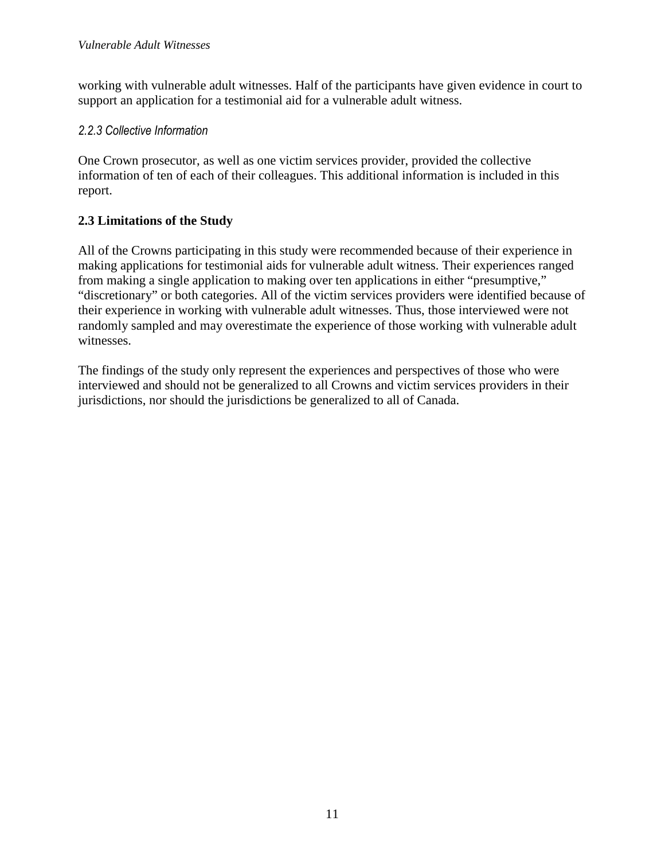working with vulnerable adult witnesses. Half of the participants have given evidence in court to support an application for a testimonial aid for a vulnerable adult witness.

#### *2.2.3 Collective Information*

One Crown prosecutor, as well as one victim services provider, provided the collective information of ten of each of their colleagues. This additional information is included in this report.

# **2.3 Limitations of the Study**

All of the Crowns participating in this study were recommended because of their experience in making applications for testimonial aids for vulnerable adult witness. Their experiences ranged from making a single application to making over ten applications in either "presumptive," "discretionary" or both categories. All of the victim services providers were identified because of their experience in working with vulnerable adult witnesses. Thus, those interviewed were not randomly sampled and may overestimate the experience of those working with vulnerable adult witnesses.

The findings of the study only represent the experiences and perspectives of those who were interviewed and should not be generalized to all Crowns and victim services providers in their jurisdictions, nor should the jurisdictions be generalized to all of Canada.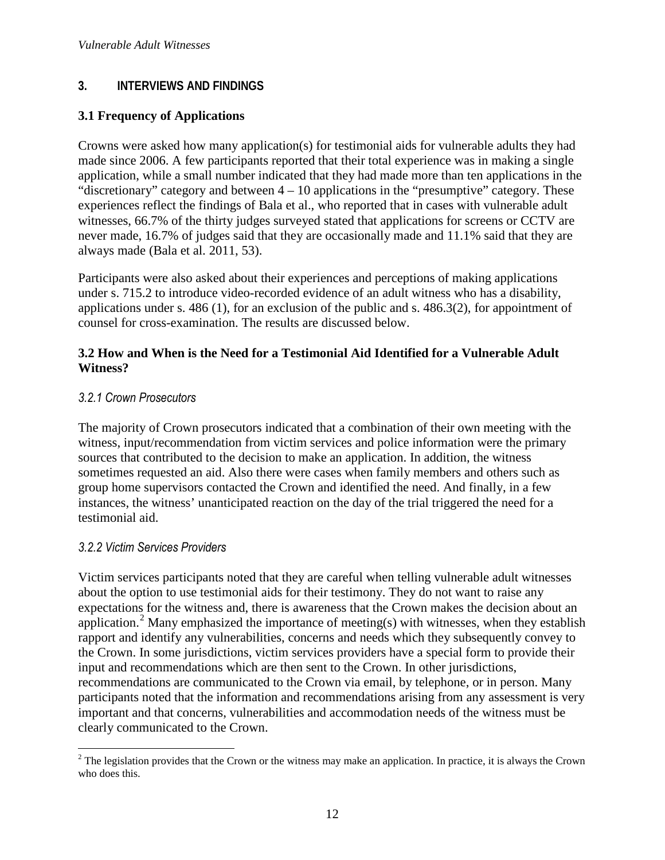## **3. INTERVIEWS AND FINDINGS**

#### **3.1 Frequency of Applications**

Crowns were asked how many application(s) for testimonial aids for vulnerable adults they had made since 2006. A few participants reported that their total experience was in making a single application, while a small number indicated that they had made more than ten applications in the "discretionary" category and between 4 – 10 applications in the "presumptive" category. These experiences reflect the findings of Bala et al., who reported that in cases with vulnerable adult witnesses, 66.7% of the thirty judges surveyed stated that applications for screens or CCTV are never made, 16.7% of judges said that they are occasionally made and 11.1% said that they are always made (Bala et al. 2011, 53).

Participants were also asked about their experiences and perceptions of making applications under s. 715.2 to introduce video-recorded evidence of an adult witness who has a disability, applications under s. 486 (1), for an exclusion of the public and s. 486.3(2), for appointment of counsel for cross-examination. The results are discussed below.

#### **3.2 How and When is the Need for a Testimonial Aid Identified for a Vulnerable Adult Witness?**

#### *3.2.1 Crown Prosecutors*

The majority of Crown prosecutors indicated that a combination of their own meeting with the witness, input/recommendation from victim services and police information were the primary sources that contributed to the decision to make an application. In addition, the witness sometimes requested an aid. Also there were cases when family members and others such as group home supervisors contacted the Crown and identified the need. And finally, in a few instances, the witness' unanticipated reaction on the day of the trial triggered the need for a testimonial aid.

#### *3.2.2 Victim Services Providers*

Victim services participants noted that they are careful when telling vulnerable adult witnesses about the option to use testimonial aids for their testimony. They do not want to raise any expectations for the witness and, there is awareness that the Crown makes the decision about an application.<sup>2</sup> Many emphasized the importance of meeting(s) with witnesses, when they establish rapport and identify any vulnerabilities, concerns and needs which they subsequently convey to the Crown. In some jurisdictions, victim services providers have a special form to provide their input and recommendations which are then sent to the Crown. In other jurisdictions, recommendations are communicated to the Crown via email, by telephone, or in person. Many participants noted that the information and recommendations arising from any assessment is very important and that concerns, vulnerabilities and accommodation needs of the witness must be clearly communicated to the Crown.

 $\overline{a}$  $2$  The legislation provides that the Crown or the witness may make an application. In practice, it is always the Crown who does this.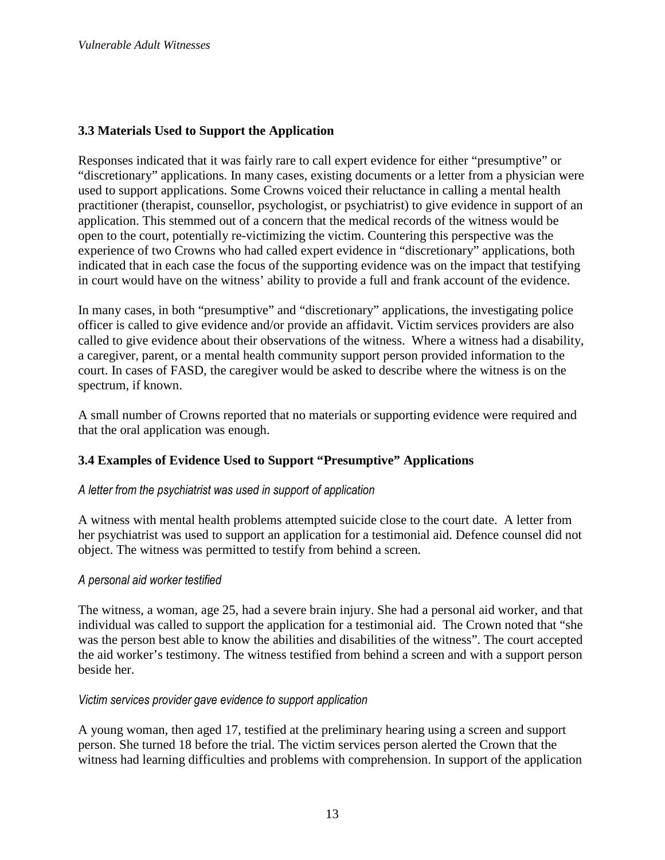#### **3.3 Materials Used to Support the Application**

Responses indicated that it was fairly rare to call expert evidence for either "presumptive" or "discretionary" applications. In many cases, existing documents or a letter from a physician were used to support applications. Some Crowns voiced their reluctance in calling a mental health practitioner (therapist, counsellor, psychologist, or psychiatrist) to give evidence in support of an application. This stemmed out of a concern that the medical records of the witness would be open to the court, potentially re-victimizing the victim. Countering this perspective was the experience of two Crowns who had called expert evidence in "discretionary" applications, both indicated that in each case the focus of the supporting evidence was on the impact that testifying in court would have on the witness' ability to provide a full and frank account of the evidence.

In many cases, in both "presumptive" and "discretionary" applications, the investigating police officer is called to give evidence and/or provide an affidavit. Victim services providers are also called to give evidence about their observations of the witness. Where a witness had a disability, a caregiver, parent, or a mental health community support person provided information to the court. In cases of FASD, the caregiver would be asked to describe where the witness is on the spectrum, if known.

A small number of Crowns reported that no materials or supporting evidence were required and that the oral application was enough.

#### **3.4 Examples of Evidence Used to Support "Presumptive" Applications**

#### *A letter from the psychiatrist was used in support of application*

A witness with mental health problems attempted suicide close to the court date. A letter from her psychiatrist was used to support an application for a testimonial aid. Defence counsel did not object. The witness was permitted to testify from behind a screen.

#### *A personal aid worker testified*

The witness, a woman, age 25, had a severe brain injury. She had a personal aid worker, and that individual was called to support the application for a testimonial aid. The Crown noted that "she was the person best able to know the abilities and disabilities of the witness". The court accepted the aid worker's testimony. The witness testified from behind a screen and with a support person beside her.

#### *Victim services provider gave evidence to support application*

A young woman, then aged 17, testified at the preliminary hearing using a screen and support person. She turned 18 before the trial. The victim services person alerted the Crown that the witness had learning difficulties and problems with comprehension. In support of the application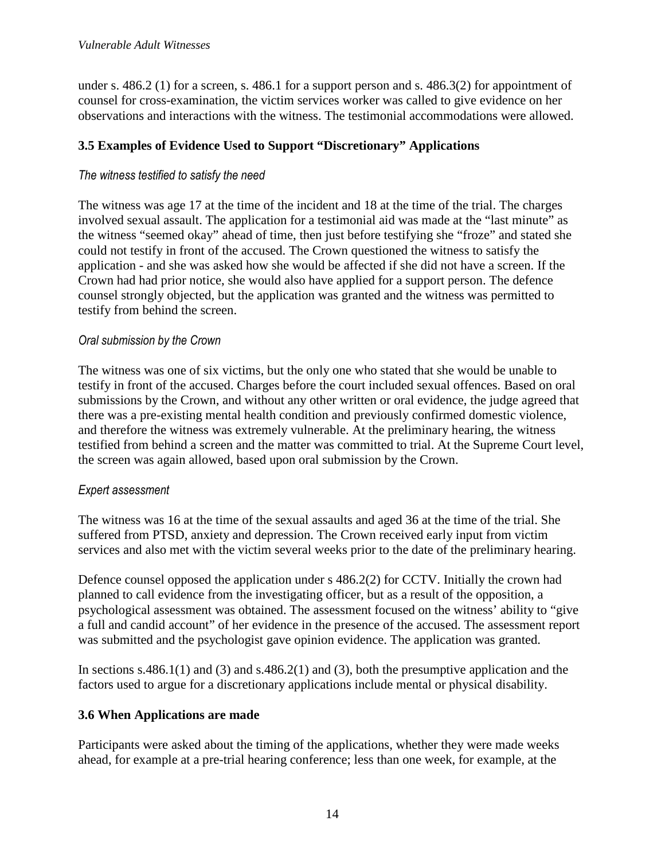under s. 486.2 (1) for a screen, s. 486.1 for a support person and s. 486.3(2) for appointment of counsel for cross-examination, the victim services worker was called to give evidence on her observations and interactions with the witness. The testimonial accommodations were allowed.

## **3.5 Examples of Evidence Used to Support "Discretionary" Applications**

#### *The witness testified to satisfy the need*

The witness was age 17 at the time of the incident and 18 at the time of the trial. The charges involved sexual assault. The application for a testimonial aid was made at the "last minute" as the witness "seemed okay" ahead of time, then just before testifying she "froze" and stated she could not testify in front of the accused. The Crown questioned the witness to satisfy the application - and she was asked how she would be affected if she did not have a screen. If the Crown had had prior notice, she would also have applied for a support person. The defence counsel strongly objected, but the application was granted and the witness was permitted to testify from behind the screen.

#### *Oral submission by the Crown*

The witness was one of six victims, but the only one who stated that she would be unable to testify in front of the accused. Charges before the court included sexual offences. Based on oral submissions by the Crown, and without any other written or oral evidence, the judge agreed that there was a pre-existing mental health condition and previously confirmed domestic violence, and therefore the witness was extremely vulnerable. At the preliminary hearing, the witness testified from behind a screen and the matter was committed to trial. At the Supreme Court level, the screen was again allowed, based upon oral submission by the Crown.

#### *Expert assessment*

The witness was 16 at the time of the sexual assaults and aged 36 at the time of the trial. She suffered from PTSD, anxiety and depression. The Crown received early input from victim services and also met with the victim several weeks prior to the date of the preliminary hearing.

Defence counsel opposed the application under s 486.2(2) for CCTV. Initially the crown had planned to call evidence from the investigating officer, but as a result of the opposition, a psychological assessment was obtained. The assessment focused on the witness' ability to "give a full and candid account" of her evidence in the presence of the accused. The assessment report was submitted and the psychologist gave opinion evidence. The application was granted.

In sections s.486.1(1) and (3) and s.486.2(1) and (3), both the presumptive application and the factors used to argue for a discretionary applications include mental or physical disability.

#### **3.6 When Applications are made**

Participants were asked about the timing of the applications, whether they were made weeks ahead, for example at a pre-trial hearing conference; less than one week, for example, at the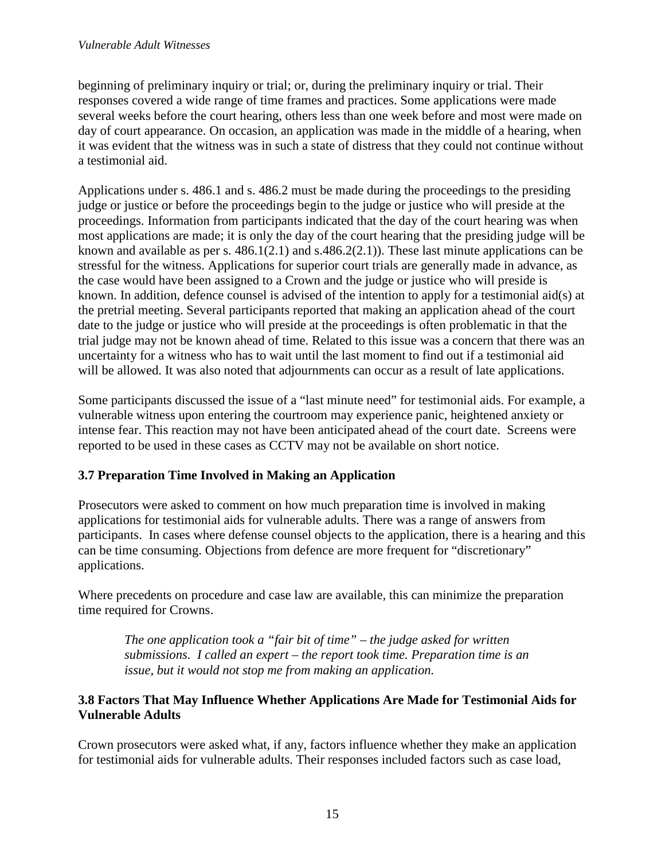beginning of preliminary inquiry or trial; or, during the preliminary inquiry or trial. Their responses covered a wide range of time frames and practices. Some applications were made several weeks before the court hearing, others less than one week before and most were made on day of court appearance. On occasion, an application was made in the middle of a hearing, when it was evident that the witness was in such a state of distress that they could not continue without a testimonial aid.

Applications under s. 486.1 and s. 486.2 must be made during the proceedings to the presiding judge or justice or before the proceedings begin to the judge or justice who will preside at the proceedings. Information from participants indicated that the day of the court hearing was when most applications are made; it is only the day of the court hearing that the presiding judge will be known and available as per s. 486.1(2.1) and s.486.2(2.1)). These last minute applications can be stressful for the witness. Applications for superior court trials are generally made in advance, as the case would have been assigned to a Crown and the judge or justice who will preside is known. In addition, defence counsel is advised of the intention to apply for a testimonial aid(s) at the pretrial meeting. Several participants reported that making an application ahead of the court date to the judge or justice who will preside at the proceedings is often problematic in that the trial judge may not be known ahead of time. Related to this issue was a concern that there was an uncertainty for a witness who has to wait until the last moment to find out if a testimonial aid will be allowed. It was also noted that adjournments can occur as a result of late applications.

Some participants discussed the issue of a "last minute need" for testimonial aids. For example, a vulnerable witness upon entering the courtroom may experience panic, heightened anxiety or intense fear. This reaction may not have been anticipated ahead of the court date. Screens were reported to be used in these cases as CCTV may not be available on short notice.

## **3.7 Preparation Time Involved in Making an Application**

Prosecutors were asked to comment on how much preparation time is involved in making applications for testimonial aids for vulnerable adults. There was a range of answers from participants. In cases where defense counsel objects to the application, there is a hearing and this can be time consuming. Objections from defence are more frequent for "discretionary" applications.

Where precedents on procedure and case law are available, this can minimize the preparation time required for Crowns.

*The one application took a "fair bit of time" – the judge asked for written submissions. I called an expert – the report took time. Preparation time is an issue, but it would not stop me from making an application.* 

#### **3.8 Factors That May Influence Whether Applications Are Made for Testimonial Aids for Vulnerable Adults**

Crown prosecutors were asked what, if any, factors influence whether they make an application for testimonial aids for vulnerable adults. Their responses included factors such as case load,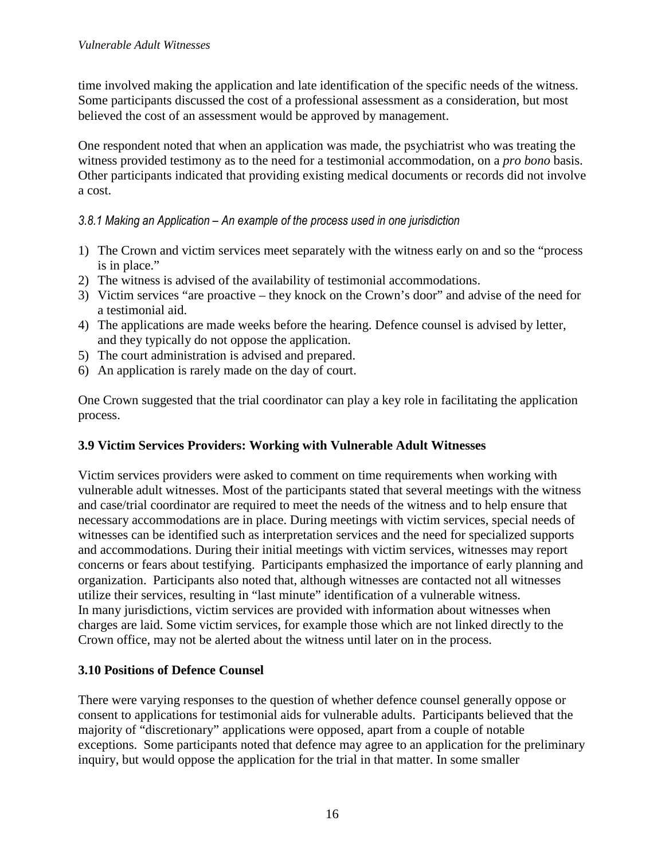time involved making the application and late identification of the specific needs of the witness. Some participants discussed the cost of a professional assessment as a consideration, but most believed the cost of an assessment would be approved by management.

One respondent noted that when an application was made, the psychiatrist who was treating the witness provided testimony as to the need for a testimonial accommodation, on a *pro bono* basis. Other participants indicated that providing existing medical documents or records did not involve a cost.

#### *3.8.1 Making an Application – An example of the process used in one jurisdiction*

- 1) The Crown and victim services meet separately with the witness early on and so the "process is in place."
- 2) The witness is advised of the availability of testimonial accommodations.
- 3) Victim services "are proactive they knock on the Crown's door" and advise of the need for a testimonial aid.
- 4) The applications are made weeks before the hearing. Defence counsel is advised by letter, and they typically do not oppose the application.
- 5) The court administration is advised and prepared.
- 6) An application is rarely made on the day of court.

One Crown suggested that the trial coordinator can play a key role in facilitating the application process.

## **3.9 Victim Services Providers: Working with Vulnerable Adult Witnesses**

Victim services providers were asked to comment on time requirements when working with vulnerable adult witnesses. Most of the participants stated that several meetings with the witness and case/trial coordinator are required to meet the needs of the witness and to help ensure that necessary accommodations are in place. During meetings with victim services, special needs of witnesses can be identified such as interpretation services and the need for specialized supports and accommodations. During their initial meetings with victim services, witnesses may report concerns or fears about testifying. Participants emphasized the importance of early planning and organization. Participants also noted that, although witnesses are contacted not all witnesses utilize their services, resulting in "last minute" identification of a vulnerable witness. In many jurisdictions, victim services are provided with information about witnesses when charges are laid. Some victim services, for example those which are not linked directly to the Crown office, may not be alerted about the witness until later on in the process.

#### **3.10 Positions of Defence Counsel**

There were varying responses to the question of whether defence counsel generally oppose or consent to applications for testimonial aids for vulnerable adults. Participants believed that the majority of "discretionary" applications were opposed, apart from a couple of notable exceptions. Some participants noted that defence may agree to an application for the preliminary inquiry, but would oppose the application for the trial in that matter. In some smaller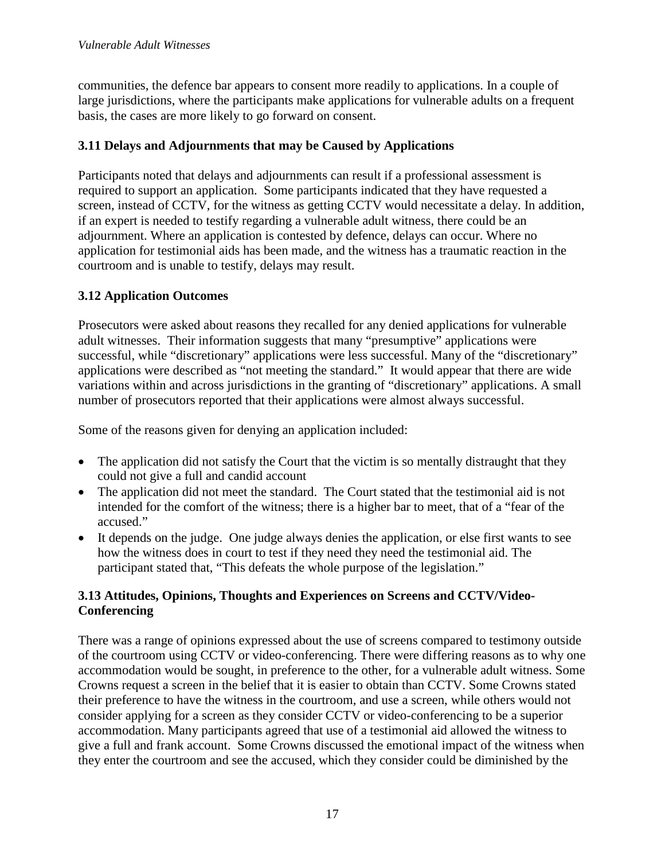communities, the defence bar appears to consent more readily to applications. In a couple of large jurisdictions, where the participants make applications for vulnerable adults on a frequent basis, the cases are more likely to go forward on consent.

#### **3.11 Delays and Adjournments that may be Caused by Applications**

Participants noted that delays and adjournments can result if a professional assessment is required to support an application. Some participants indicated that they have requested a screen, instead of CCTV, for the witness as getting CCTV would necessitate a delay. In addition, if an expert is needed to testify regarding a vulnerable adult witness, there could be an adjournment. Where an application is contested by defence, delays can occur. Where no application for testimonial aids has been made, and the witness has a traumatic reaction in the courtroom and is unable to testify, delays may result.

## **3.12 Application Outcomes**

Prosecutors were asked about reasons they recalled for any denied applications for vulnerable adult witnesses. Their information suggests that many "presumptive" applications were successful, while "discretionary" applications were less successful. Many of the "discretionary" applications were described as "not meeting the standard." It would appear that there are wide variations within and across jurisdictions in the granting of "discretionary" applications. A small number of prosecutors reported that their applications were almost always successful.

Some of the reasons given for denying an application included:

- The application did not satisfy the Court that the victim is so mentally distraught that they could not give a full and candid account
- The application did not meet the standard. The Court stated that the testimonial aid is not intended for the comfort of the witness; there is a higher bar to meet, that of a "fear of the accused."
- It depends on the judge. One judge always denies the application, or else first wants to see how the witness does in court to test if they need they need the testimonial aid. The participant stated that, "This defeats the whole purpose of the legislation."

#### **3.13 Attitudes, Opinions, Thoughts and Experiences on Screens and CCTV/Video-Conferencing**

There was a range of opinions expressed about the use of screens compared to testimony outside of the courtroom using CCTV or video-conferencing. There were differing reasons as to why one accommodation would be sought, in preference to the other, for a vulnerable adult witness. Some Crowns request a screen in the belief that it is easier to obtain than CCTV. Some Crowns stated their preference to have the witness in the courtroom, and use a screen, while others would not consider applying for a screen as they consider CCTV or video-conferencing to be a superior accommodation. Many participants agreed that use of a testimonial aid allowed the witness to give a full and frank account. Some Crowns discussed the emotional impact of the witness when they enter the courtroom and see the accused, which they consider could be diminished by the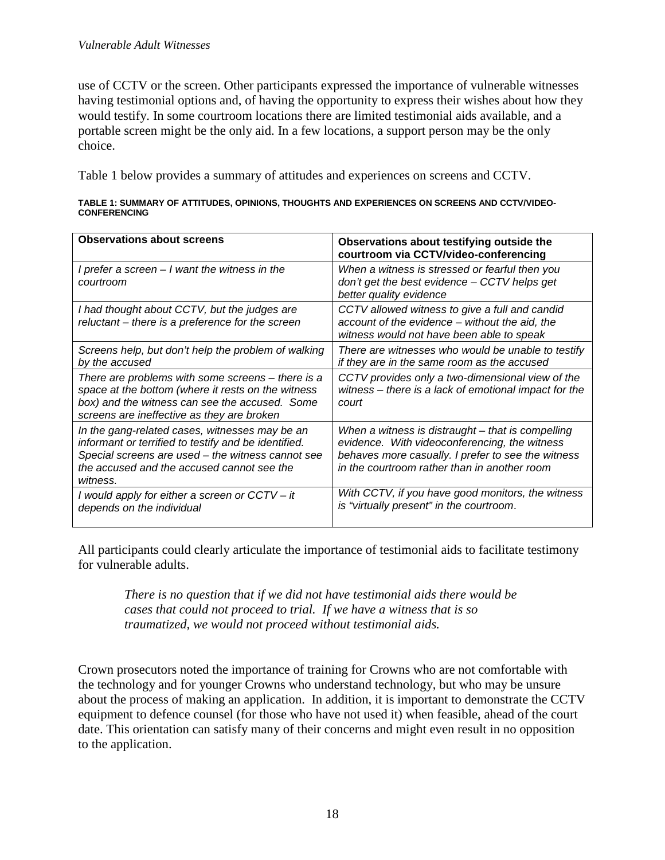use of CCTV or the screen. Other participants expressed the importance of vulnerable witnesses having testimonial options and, of having the opportunity to express their wishes about how they would testify. In some courtroom locations there are limited testimonial aids available, and a portable screen might be the only aid. In a few locations, a support person may be the only choice.

Table 1 below provides a summary of attitudes and experiences on screens and CCTV.

| TABLE 1: SUMMARY OF ATTITUDES, OPINIONS, THOUGHTS AND EXPERIENCES ON SCREENS AND CCTV/VIDEO- |  |
|----------------------------------------------------------------------------------------------|--|
| <b>CONFERENCING</b>                                                                          |  |

| <b>Observations about screens</b>                                                                                                                                                                                     | Observations about testifying outside the<br>courtroom via CCTV/video-conferencing                                                                                                                       |
|-----------------------------------------------------------------------------------------------------------------------------------------------------------------------------------------------------------------------|----------------------------------------------------------------------------------------------------------------------------------------------------------------------------------------------------------|
| I prefer a screen $-1$ want the witness in the<br>courtroom                                                                                                                                                           | When a witness is stressed or fearful then you<br>$don't get the best evidence - CCTV helps get$<br>better quality evidence                                                                              |
| I had thought about CCTV, but the judges are<br>reluctant – there is a preference for the screen                                                                                                                      | CCTV allowed witness to give a full and candid<br>account of the evidence – without the aid, the<br>witness would not have been able to speak                                                            |
| Screens help, but don't help the problem of walking<br>by the accused                                                                                                                                                 | There are witnesses who would be unable to testify<br>if they are in the same room as the accused                                                                                                        |
| There are problems with some screens – there is a<br>space at the bottom (where it rests on the witness<br>box) and the witness can see the accused. Some<br>screens are ineffective as they are broken               | CCTV provides only a two-dimensional view of the<br>witness – there is a lack of emotional impact for the<br>court                                                                                       |
| In the gang-related cases, witnesses may be an<br>informant or terrified to testify and be identified.<br>Special screens are used - the witness cannot see<br>the accused and the accused cannot see the<br>witness. | When a witness is distraught – that is compelling<br>evidence. With videoconferencing, the witness<br>behaves more casually. I prefer to see the witness<br>in the courtroom rather than in another room |
| I would apply for either a screen or CCTV – it<br>depends on the individual                                                                                                                                           | With CCTV, if you have good monitors, the witness<br>is "virtually present" in the courtroom.                                                                                                            |

All participants could clearly articulate the importance of testimonial aids to facilitate testimony for vulnerable adults.

*There is no question that if we did not have testimonial aids there would be cases that could not proceed to trial. If we have a witness that is so traumatized, we would not proceed without testimonial aids.*

Crown prosecutors noted the importance of training for Crowns who are not comfortable with the technology and for younger Crowns who understand technology, but who may be unsure about the process of making an application. In addition, it is important to demonstrate the CCTV equipment to defence counsel (for those who have not used it) when feasible, ahead of the court date. This orientation can satisfy many of their concerns and might even result in no opposition to the application.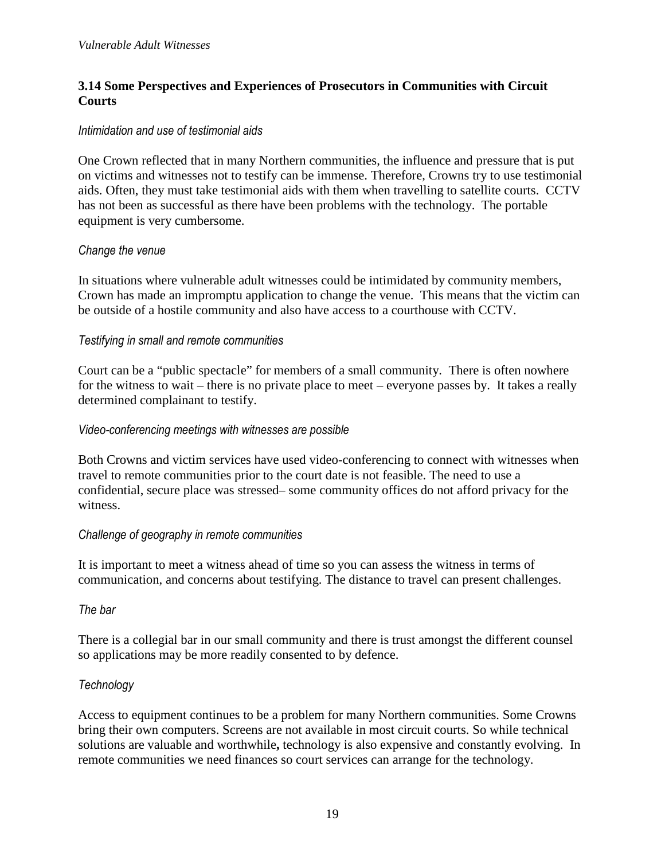#### **3.14 Some Perspectives and Experiences of Prosecutors in Communities with Circuit Courts**

#### *Intimidation and use of testimonial aids*

One Crown reflected that in many Northern communities, the influence and pressure that is put on victims and witnesses not to testify can be immense. Therefore, Crowns try to use testimonial aids. Often, they must take testimonial aids with them when travelling to satellite courts. CCTV has not been as successful as there have been problems with the technology. The portable equipment is very cumbersome.

#### *Change the venue*

In situations where vulnerable adult witnesses could be intimidated by community members, Crown has made an impromptu application to change the venue. This means that the victim can be outside of a hostile community and also have access to a courthouse with CCTV.

#### *Testifying in small and remote communities*

Court can be a "public spectacle" for members of a small community. There is often nowhere for the witness to wait – there is no private place to meet – everyone passes by. It takes a really determined complainant to testify.

#### *Video-conferencing meetings with witnesses are possible*

Both Crowns and victim services have used video-conferencing to connect with witnesses when travel to remote communities prior to the court date is not feasible. The need to use a confidential, secure place was stressed– some community offices do not afford privacy for the witness.

#### *Challenge of geography in remote communities*

It is important to meet a witness ahead of time so you can assess the witness in terms of communication, and concerns about testifying. The distance to travel can present challenges.

#### *The bar*

There is a collegial bar in our small community and there is trust amongst the different counsel so applications may be more readily consented to by defence.

#### *Technology*

Access to equipment continues to be a problem for many Northern communities. Some Crowns bring their own computers. Screens are not available in most circuit courts. So while technical solutions are valuable and worthwhile**,** technology is also expensive and constantly evolving. In remote communities we need finances so court services can arrange for the technology.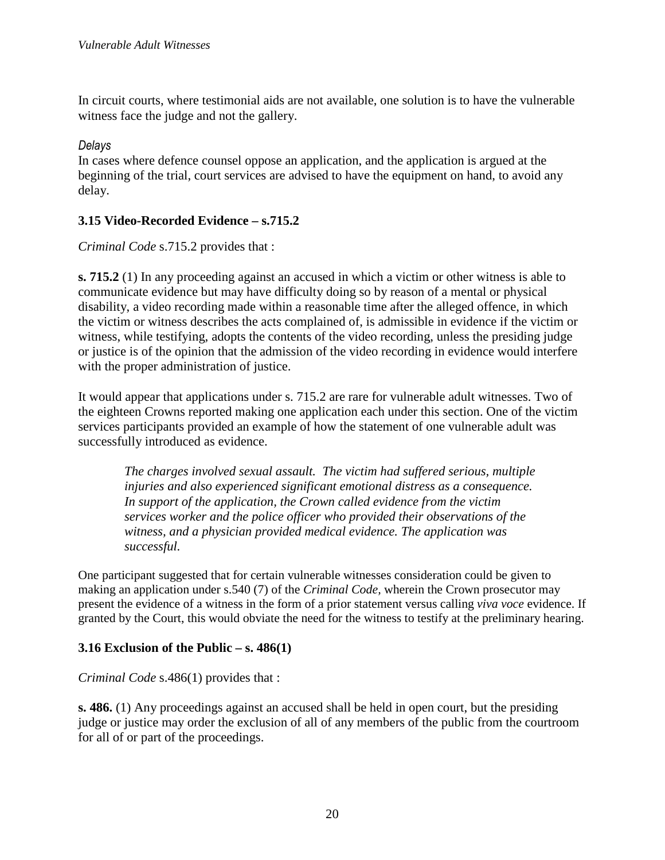In circuit courts, where testimonial aids are not available, one solution is to have the vulnerable witness face the judge and not the gallery.

#### *Delays*

In cases where defence counsel oppose an application, and the application is argued at the beginning of the trial, court services are advised to have the equipment on hand, to avoid any delay.

## **3.15 Video-Recorded Evidence – s.715.2**

*Criminal Code* s.715.2 provides that :

**s. 715.2** (1) In any proceeding against an accused in which a victim or other witness is able to communicate evidence but may have difficulty doing so by reason of a mental or physical disability, a video recording made within a reasonable time after the alleged offence, in which the victim or witness describes the acts complained of, is admissible in evidence if the victim or witness, while testifying, adopts the contents of the video recording, unless the presiding judge or justice is of the opinion that the admission of the video recording in evidence would interfere with the proper administration of justice.

It would appear that applications under s. 715.2 are rare for vulnerable adult witnesses. Two of the eighteen Crowns reported making one application each under this section. One of the victim services participants provided an example of how the statement of one vulnerable adult was successfully introduced as evidence.

*The charges involved sexual assault. The victim had suffered serious, multiple injuries and also experienced significant emotional distress as a consequence. In support of the application, the Crown called evidence from the victim services worker and the police officer who provided their observations of the witness, and a physician provided medical evidence. The application was successful.*

One participant suggested that for certain vulnerable witnesses consideration could be given to making an application under s.540 (7) of the *Criminal Code,* wherein the Crown prosecutor may present the evidence of a witness in the form of a prior statement versus calling *viva voce* evidence. If granted by the Court, this would obviate the need for the witness to testify at the preliminary hearing.

#### **3.16 Exclusion of the Public – s. 486(1)**

*Criminal Code* s.486(1) provides that :

**s. 486.** (1) Any proceedings against an accused shall be held in open court, but the presiding judge or justice may order the exclusion of all of any members of the public from the courtroom for all of or part of the proceedings.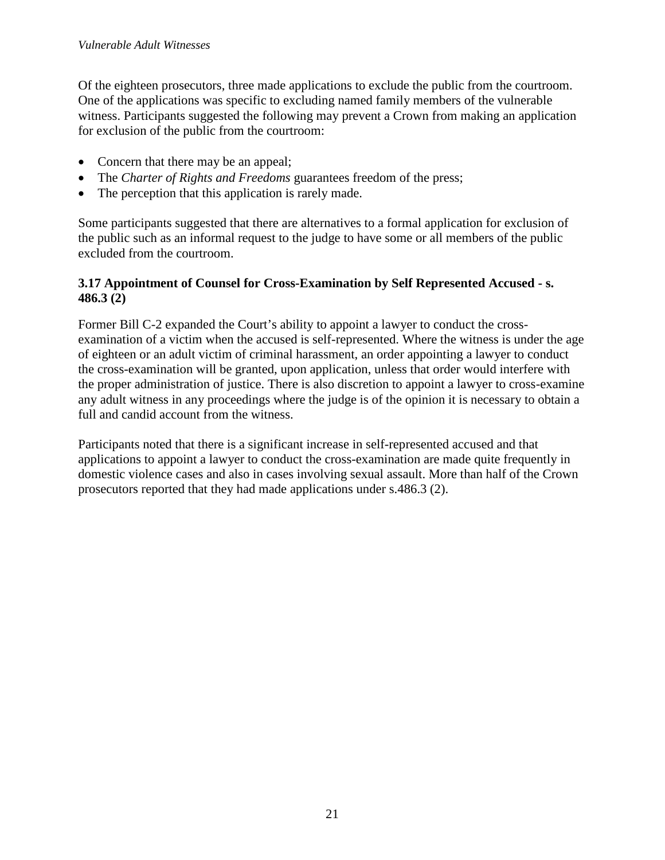Of the eighteen prosecutors, three made applications to exclude the public from the courtroom. One of the applications was specific to excluding named family members of the vulnerable witness. Participants suggested the following may prevent a Crown from making an application for exclusion of the public from the courtroom:

- Concern that there may be an appeal;
- The *Charter of Rights and Freedoms* guarantees freedom of the press;
- The perception that this application is rarely made.

Some participants suggested that there are alternatives to a formal application for exclusion of the public such as an informal request to the judge to have some or all members of the public excluded from the courtroom.

#### **3.17 Appointment of Counsel for Cross-Examination by Self Represented Accused - s. 486.3 (2)**

Former Bill C-2 expanded the Court's ability to appoint a lawyer to conduct the crossexamination of a victim when the accused is self-represented. Where the witness is under the age of eighteen or an adult victim of criminal harassment, an order appointing a lawyer to conduct the cross-examination will be granted, upon application, unless that order would interfere with the proper administration of justice. There is also discretion to appoint a lawyer to cross-examine any adult witness in any proceedings where the judge is of the opinion it is necessary to obtain a full and candid account from the witness.

Participants noted that there is a significant increase in self-represented accused and that applications to appoint a lawyer to conduct the cross-examination are made quite frequently in domestic violence cases and also in cases involving sexual assault. More than half of the Crown prosecutors reported that they had made applications under s.486.3 (2).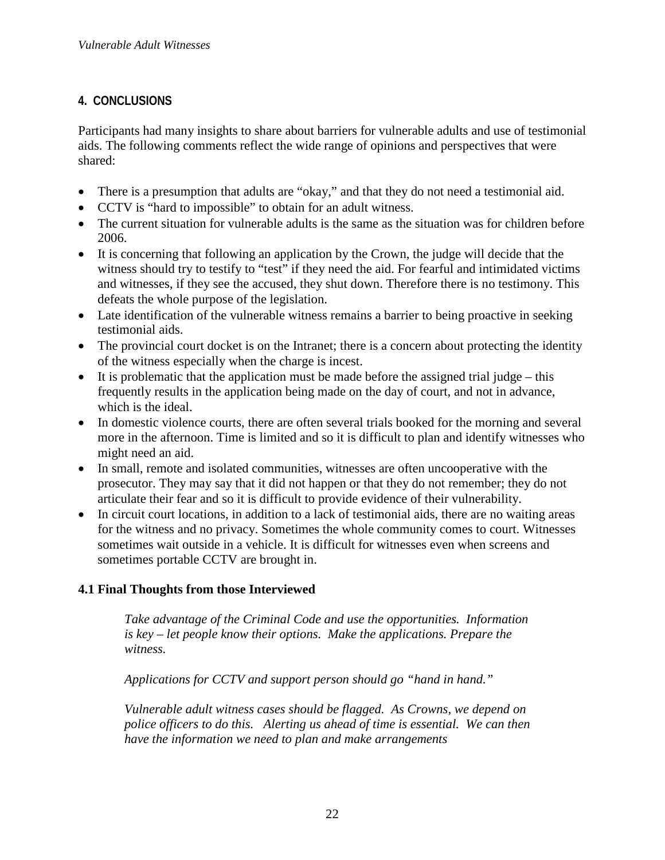## **4. CONCLUSIONS**

Participants had many insights to share about barriers for vulnerable adults and use of testimonial aids. The following comments reflect the wide range of opinions and perspectives that were shared:

- There is a presumption that adults are "okay," and that they do not need a testimonial aid.
- CCTV is "hard to impossible" to obtain for an adult witness.
- The current situation for vulnerable adults is the same as the situation was for children before 2006.
- It is concerning that following an application by the Crown, the judge will decide that the witness should try to testify to "test" if they need the aid. For fearful and intimidated victims and witnesses, if they see the accused, they shut down. Therefore there is no testimony. This defeats the whole purpose of the legislation.
- Late identification of the vulnerable witness remains a barrier to being proactive in seeking testimonial aids.
- The provincial court docket is on the Intranet; there is a concern about protecting the identity of the witness especially when the charge is incest.
- It is problematic that the application must be made before the assigned trial judge this frequently results in the application being made on the day of court, and not in advance, which is the ideal.
- In domestic violence courts, there are often several trials booked for the morning and several more in the afternoon. Time is limited and so it is difficult to plan and identify witnesses who might need an aid.
- In small, remote and isolated communities, witnesses are often uncooperative with the prosecutor. They may say that it did not happen or that they do not remember; they do not articulate their fear and so it is difficult to provide evidence of their vulnerability.
- In circuit court locations, in addition to a lack of testimonial aids, there are no waiting areas for the witness and no privacy. Sometimes the whole community comes to court. Witnesses sometimes wait outside in a vehicle. It is difficult for witnesses even when screens and sometimes portable CCTV are brought in.

# **4.1 Final Thoughts from those Interviewed**

*Take advantage of the Criminal Code and use the opportunities. Information is key – let people know their options. Make the applications. Prepare the witness.* 

*Applications for CCTV and support person should go "hand in hand."* 

*Vulnerable adult witness cases should be flagged. As Crowns, we depend on police officers to do this. Alerting us ahead of time is essential. We can then have the information we need to plan and make arrangements*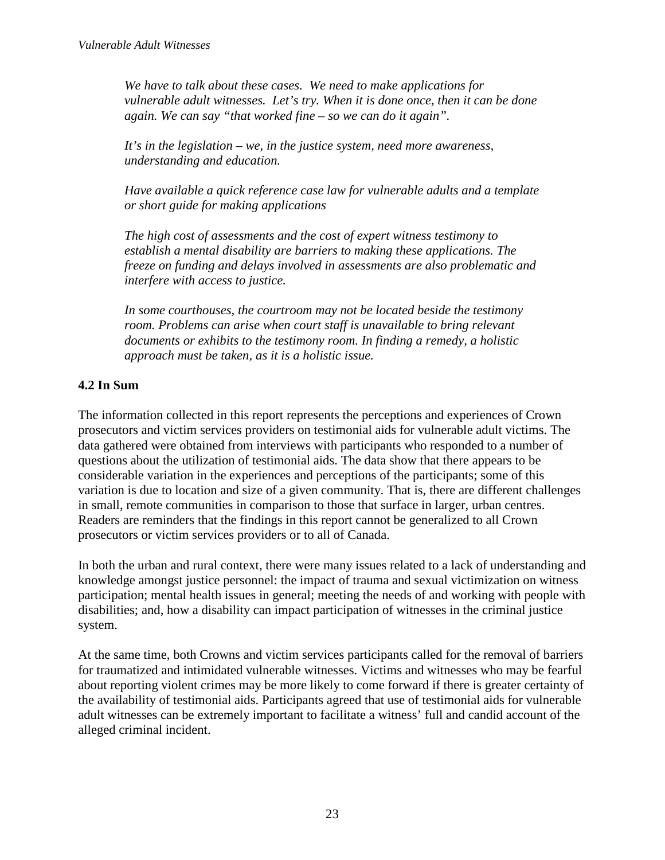*We have to talk about these cases. We need to make applications for vulnerable adult witnesses. Let's try. When it is done once, then it can be done again. We can say "that worked fine – so we can do it again".* 

*It's in the legislation – we, in the justice system, need more awareness, understanding and education.* 

*Have available a quick reference case law for vulnerable adults and a template or short guide for making applications* 

*The high cost of assessments and the cost of expert witness testimony to establish a mental disability are barriers to making these applications. The freeze on funding and delays involved in assessments are also problematic and interfere with access to justice.* 

*In some courthouses, the courtroom may not be located beside the testimony room. Problems can arise when court staff is unavailable to bring relevant documents or exhibits to the testimony room. In finding a remedy, a holistic approach must be taken, as it is a holistic issue.* 

# **4.2 In Sum**

The information collected in this report represents the perceptions and experiences of Crown prosecutors and victim services providers on testimonial aids for vulnerable adult victims. The data gathered were obtained from interviews with participants who responded to a number of questions about the utilization of testimonial aids. The data show that there appears to be considerable variation in the experiences and perceptions of the participants; some of this variation is due to location and size of a given community. That is, there are different challenges in small, remote communities in comparison to those that surface in larger, urban centres. Readers are reminders that the findings in this report cannot be generalized to all Crown prosecutors or victim services providers or to all of Canada.

In both the urban and rural context, there were many issues related to a lack of understanding and knowledge amongst justice personnel: the impact of trauma and sexual victimization on witness participation; mental health issues in general; meeting the needs of and working with people with disabilities; and, how a disability can impact participation of witnesses in the criminal justice system.

At the same time, both Crowns and victim services participants called for the removal of barriers for traumatized and intimidated vulnerable witnesses. Victims and witnesses who may be fearful about reporting violent crimes may be more likely to come forward if there is greater certainty of the availability of testimonial aids. Participants agreed that use of testimonial aids for vulnerable adult witnesses can be extremely important to facilitate a witness' full and candid account of the alleged criminal incident.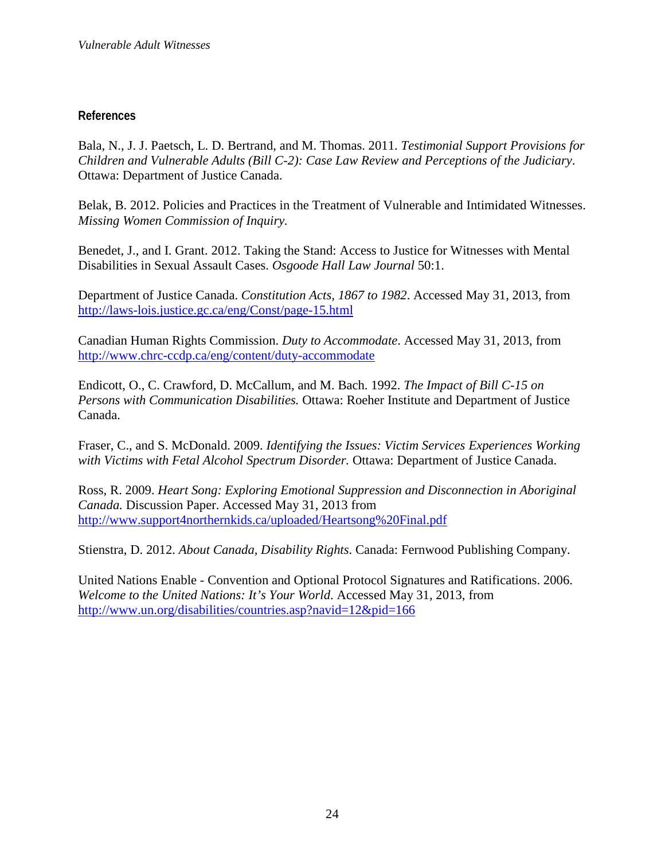#### **References**

Bala, N., J. J. Paetsch, L. D. Bertrand, and M. Thomas. 2011. *Testimonial Support Provisions for Children and Vulnerable Adults (Bill C-2): Case Law Review and Perceptions of the Judiciary*. Ottawa: Department of Justice Canada.

Belak, B. 2012. Policies and Practices in the Treatment of Vulnerable and Intimidated Witnesses. *Missing Women Commission of Inquiry.*

Benedet, J., and I. Grant. 2012. Taking the Stand: Access to Justice for Witnesses with Mental Disabilities in Sexual Assault Cases. *Osgoode Hall Law Journal* 50:1.

Department of Justice Canada. *Constitution Acts, 1867 to 1982*. Accessed May 31, 2013, from http://laws-lois.justice.gc.ca/eng/Const/page-15.html

Canadian Human Rights Commission. *Duty to Accommodate*. Accessed May 31, 2013, from http://www.chrc-ccdp.ca/eng/content/duty-accommodate

Endicott, O., C. Crawford, D. McCallum, and M. Bach. 1992. *The Impact of Bill C-15 on Persons with Communication Disabilities.* Ottawa: Roeher Institute and Department of Justice Canada.

Fraser, C., and S. McDonald. 2009. *Identifying the Issues: Victim Services Experiences Working with Victims with Fetal Alcohol Spectrum Disorder.* Ottawa: Department of Justice Canada.

Ross, R. 2009. *Heart Song: Exploring Emotional Suppression and Disconnection in Aboriginal Canada.* Discussion Paper. Accessed May 31, 2013 from http://www.support4northernkids.ca/uploaded/Heartsong%20Final.pdf

Stienstra, D. 2012. *About Canada, Disability Rights*. Canada: Fernwood Publishing Company.

United Nations Enable - Convention and Optional Protocol Signatures and Ratifications. 2006. *Welcome to the United Nations: It's Your World*. Accessed May 31, 2013, from http://www.un.org/disabilities/countries.asp?navid=12&pid=166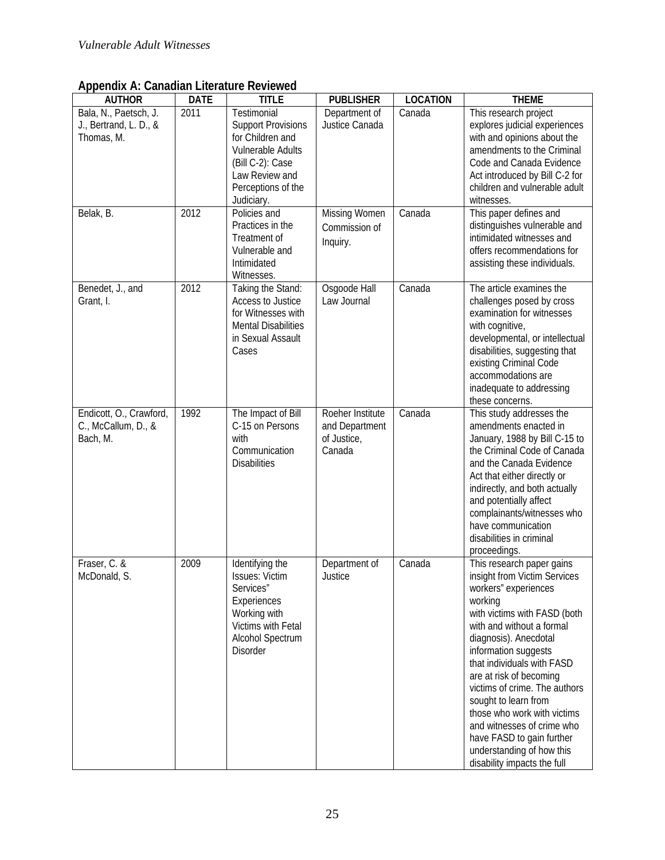| гг.<br><b>AUTHOR</b>                                                       | <b>DATE</b>  | <b>TITLE</b>                                                                                                                                                                                                    | <b>PUBLISHER</b>                                                         | <b>LOCATION</b>  | <b>THEME</b>                                                                                                                                                                                                                                                                                                                                                                                                                                                                       |
|----------------------------------------------------------------------------|--------------|-----------------------------------------------------------------------------------------------------------------------------------------------------------------------------------------------------------------|--------------------------------------------------------------------------|------------------|------------------------------------------------------------------------------------------------------------------------------------------------------------------------------------------------------------------------------------------------------------------------------------------------------------------------------------------------------------------------------------------------------------------------------------------------------------------------------------|
| Bala, N., Paetsch, J.<br>J., Bertrand, L. D., &<br>Thomas, M.<br>Belak, B. | 2011<br>2012 | Testimonial<br><b>Support Provisions</b><br>for Children and<br>Vulnerable Adults<br>(Bill C-2): Case<br>Law Review and<br>Perceptions of the<br>Judiciary.<br>Policies and<br>Practices in the<br>Treatment of | Department of<br>Justice Canada<br><b>Missing Women</b><br>Commission of | Canada<br>Canada | This research project<br>explores judicial experiences<br>with and opinions about the<br>amendments to the Criminal<br>Code and Canada Evidence<br>Act introduced by Bill C-2 for<br>children and vulnerable adult<br>witnesses.<br>This paper defines and<br>distinguishes vulnerable and<br>intimidated witnesses and                                                                                                                                                            |
|                                                                            |              | Vulnerable and<br>Intimidated<br>Witnesses.                                                                                                                                                                     | Inquiry.                                                                 |                  | offers recommendations for<br>assisting these individuals.                                                                                                                                                                                                                                                                                                                                                                                                                         |
| Benedet, J., and<br>Grant, I.                                              | 2012         | Taking the Stand:<br>Access to Justice<br>for Witnesses with<br><b>Mental Disabilities</b><br>in Sexual Assault<br>Cases                                                                                        | Osgoode Hall<br>Law Journal                                              | Canada           | The article examines the<br>challenges posed by cross<br>examination for witnesses<br>with cognitive,<br>developmental, or intellectual<br>disabilities, suggesting that<br>existing Criminal Code<br>accommodations are<br>inadequate to addressing<br>these concerns.                                                                                                                                                                                                            |
| Endicott, O., Crawford,<br>C., McCallum, D., &<br>Bach, M.                 | 1992         | The Impact of Bill<br>C-15 on Persons<br>with<br>Communication<br><b>Disabilities</b>                                                                                                                           | Roeher Institute<br>and Department<br>of Justice,<br>Canada              | Canada           | This study addresses the<br>amendments enacted in<br>January, 1988 by Bill C-15 to<br>the Criminal Code of Canada<br>and the Canada Evidence<br>Act that either directly or<br>indirectly, and both actually<br>and potentially affect<br>complainants/witnesses who<br>have communication<br>disabilities in criminal<br>proceedings.                                                                                                                                             |
| Fraser, C. &<br>McDonald, S.                                               | 2009         | Identifying the<br><b>Issues: Victim</b><br>Services"<br>Experiences<br>Working with<br>Victims with Fetal<br>Alcohol Spectrum<br><b>Disorder</b>                                                               | Department of<br>Justice                                                 | Canada           | This research paper gains<br>insight from Victim Services<br>workers" experiences<br>working<br>with victims with FASD (both<br>with and without a formal<br>diagnosis). Anecdotal<br>information suggests<br>that individuals with FASD<br>are at risk of becoming<br>victims of crime. The authors<br>sought to learn from<br>those who work with victims<br>and witnesses of crime who<br>have FASD to gain further<br>understanding of how this<br>disability impacts the full |

**Appendix A: Canadian Literature Reviewed**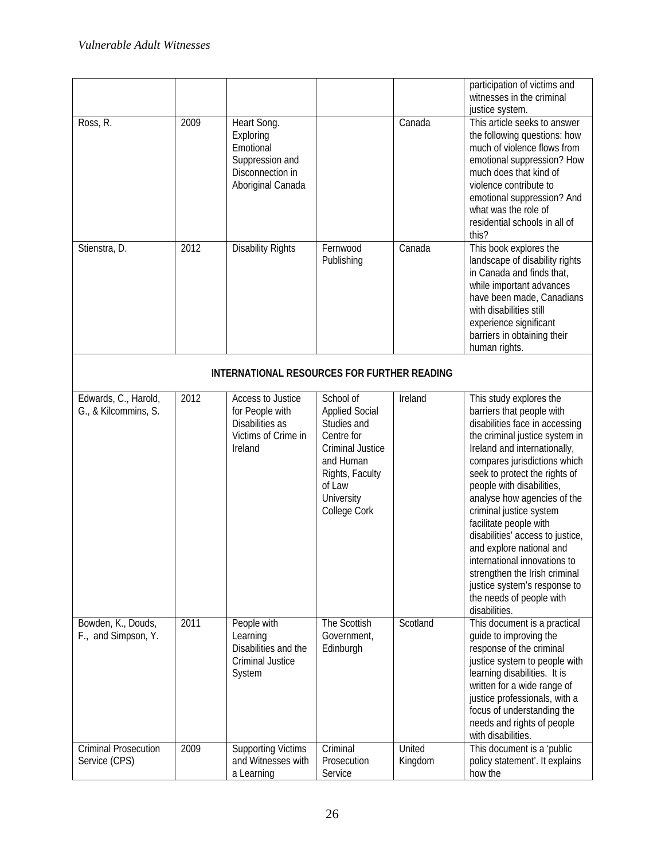| Ross, R.                                     | 2009                                        | Heart Song.                                                                               |                                                                                                                                                                    | Canada            | participation of victims and<br>witnesses in the criminal<br>justice system.<br>This article seeks to answer                                                                                                                                                                                                                                                                                                                                                                                                                                             |  |
|----------------------------------------------|---------------------------------------------|-------------------------------------------------------------------------------------------|--------------------------------------------------------------------------------------------------------------------------------------------------------------------|-------------------|----------------------------------------------------------------------------------------------------------------------------------------------------------------------------------------------------------------------------------------------------------------------------------------------------------------------------------------------------------------------------------------------------------------------------------------------------------------------------------------------------------------------------------------------------------|--|
|                                              |                                             | Exploring<br>Emotional<br>Suppression and<br>Disconnection in<br>Aboriginal Canada        |                                                                                                                                                                    |                   | the following questions: how<br>much of violence flows from<br>emotional suppression? How<br>much does that kind of<br>violence contribute to<br>emotional suppression? And<br>what was the role of<br>residential schools in all of<br>this?                                                                                                                                                                                                                                                                                                            |  |
| Stienstra, D.                                | 2012                                        | <b>Disability Rights</b>                                                                  | Fernwood<br>Publishing                                                                                                                                             | Canada            | This book explores the<br>landscape of disability rights<br>in Canada and finds that,<br>while important advances<br>have been made, Canadians<br>with disabilities still<br>experience significant<br>barriers in obtaining their<br>human rights.                                                                                                                                                                                                                                                                                                      |  |
|                                              | INTERNATIONAL RESOURCES FOR FURTHER READING |                                                                                           |                                                                                                                                                                    |                   |                                                                                                                                                                                                                                                                                                                                                                                                                                                                                                                                                          |  |
| Edwards, C., Harold,<br>G., & Kilcommins, S. | 2012                                        | Access to Justice<br>for People with<br>Disabilities as<br>Victims of Crime in<br>Ireland | School of<br><b>Applied Social</b><br>Studies and<br>Centre for<br><b>Criminal Justice</b><br>and Human<br>Rights, Faculty<br>of Law<br>University<br>College Cork | Ireland           | This study explores the<br>barriers that people with<br>disabilities face in accessing<br>the criminal justice system in<br>Ireland and internationally,<br>compares jurisdictions which<br>seek to protect the rights of<br>people with disabilities,<br>analyse how agencies of the<br>criminal justice system<br>facilitate people with<br>disabilities' access to justice,<br>and explore national and<br>international innovations to<br>strengthen the Irish criminal<br>justice system's response to<br>the needs of people with<br>disabilities. |  |
| Bowden, K., Douds,<br>F., and Simpson, Y.    | 2011                                        | People with<br>Learning<br>Disabilities and the<br>Criminal Justice<br>System             | The Scottish<br>Government,<br>Edinburgh                                                                                                                           | Scotland          | This document is a practical<br>guide to improving the<br>response of the criminal<br>justice system to people with<br>learning disabilities. It is<br>written for a wide range of<br>justice professionals, with a<br>focus of understanding the<br>needs and rights of people<br>with disabilities.                                                                                                                                                                                                                                                    |  |
| <b>Criminal Prosecution</b><br>Service (CPS) | 2009                                        | <b>Supporting Victims</b><br>and Witnesses with<br>a Learning                             | Criminal<br>Prosecution<br>Service                                                                                                                                 | United<br>Kingdom | This document is a 'public'<br>policy statement'. It explains<br>how the                                                                                                                                                                                                                                                                                                                                                                                                                                                                                 |  |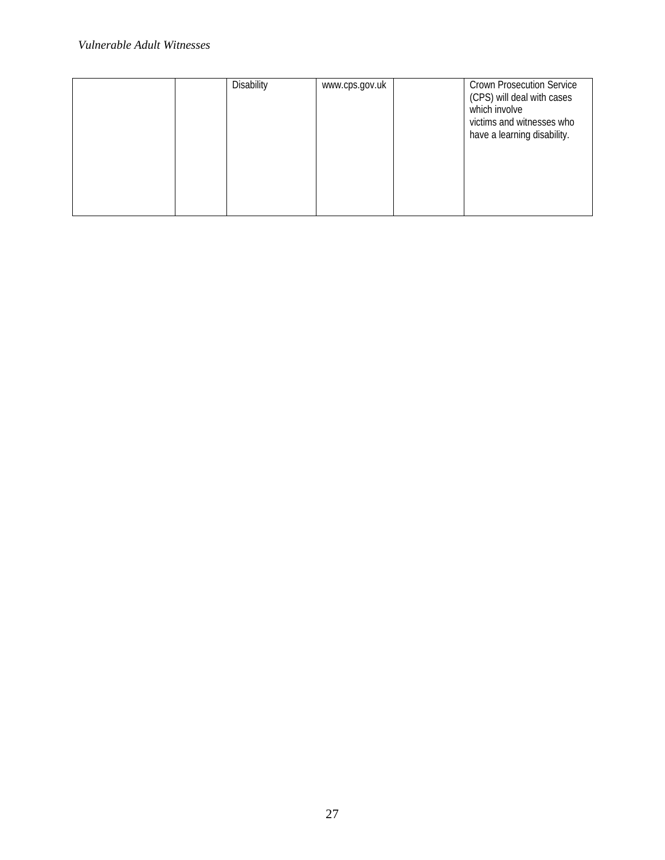#### *Vulnerable Adult Witnesses*

|  | Disability | www.cps.gov.uk | <b>Crown Prosecution Service</b><br>(CPS) will deal with cases<br>which involve<br>victims and witnesses who<br>have a learning disability. |
|--|------------|----------------|---------------------------------------------------------------------------------------------------------------------------------------------|
|  |            |                |                                                                                                                                             |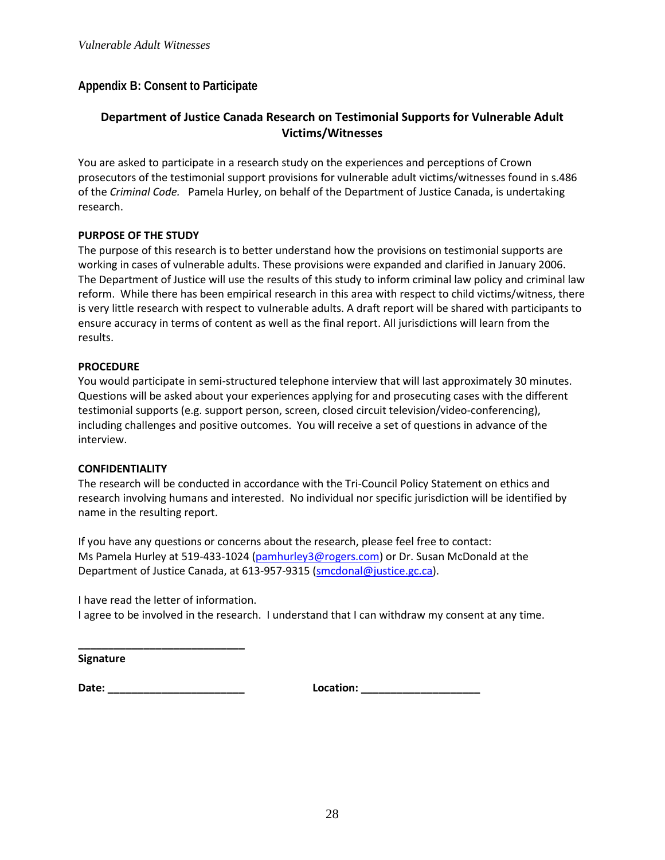#### **Appendix B: Consent to Participate**

#### **Department of Justice Canada Research on Testimonial Supports for Vulnerable Adult Victims/Witnesses**

You are asked to participate in a research study on the experiences and perceptions of Crown prosecutors of the testimonial support provisions for vulnerable adult victims/witnesses found in s.486 of the *Criminal Code.* Pamela Hurley, on behalf of the Department of Justice Canada, is undertaking research.

#### **PURPOSE OF THE STUDY**

The purpose of this research is to better understand how the provisions on testimonial supports are working in cases of vulnerable adults. These provisions were expanded and clarified in January 2006. The Department of Justice will use the results of this study to inform criminal law policy and criminal law reform. While there has been empirical research in this area with respect to child victims/witness, there is very little research with respect to vulnerable adults. A draft report will be shared with participants to ensure accuracy in terms of content as well as the final report. All jurisdictions will learn from the results.

#### **PROCEDURE**

You would participate in semi-structured telephone interview that will last approximately 30 minutes. Questions will be asked about your experiences applying for and prosecuting cases with the different testimonial supports (e.g. support person, screen, closed circuit television/video-conferencing), including challenges and positive outcomes. You will receive a set of questions in advance of the interview.

#### **CONFIDENTIALITY**

The research will be conducted in accordance with the Tri-Council Policy Statement on ethics and research involving humans and interested. No individual nor specific jurisdiction will be identified by name in the resulting report.

If you have any questions or concerns about the research, please feel free to contact: Ms Pamela Hurley at 519-433-1024 (pamhurley3@rogers.com) or Dr. Susan McDonald at the Department of Justice Canada, at 613-957-9315 (smcdonal@justice.gc.ca).

I have read the letter of information.

**\_\_\_\_\_\_\_\_\_\_\_\_\_\_\_\_\_\_\_\_\_\_\_\_\_\_\_\_**

I agree to be involved in the research. I understand that I can withdraw my consent at any time.

**Signature**

**Date: \_\_\_\_\_\_\_\_\_\_\_\_\_\_\_\_\_\_\_\_\_\_\_ Location: \_\_\_\_\_\_\_\_\_\_\_\_\_\_\_\_\_\_\_\_**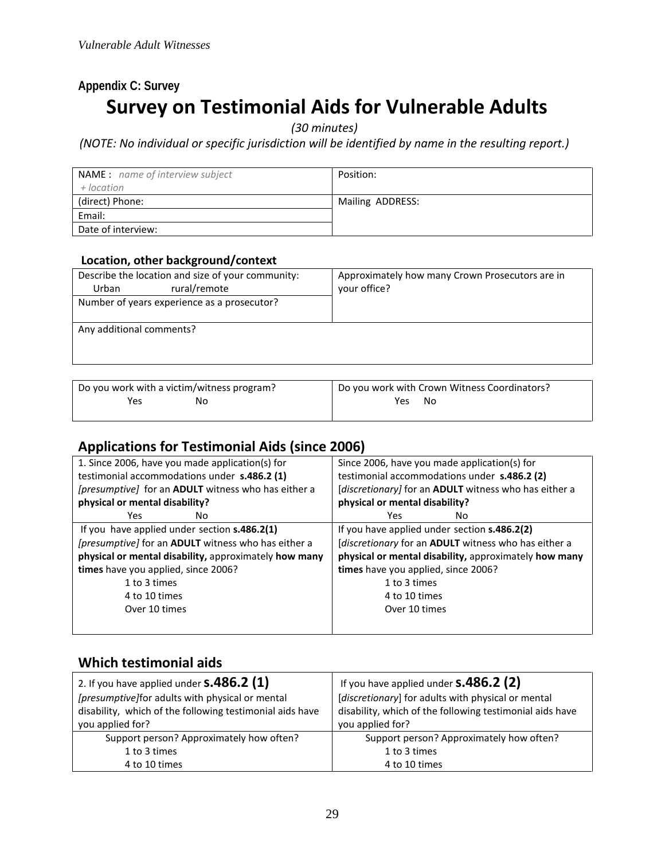# **Appendix C: Survey Survey on Testimonial Aids for Vulnerable Adults**

*(30 minutes)*

*(NOTE: No individual or specific jurisdiction will be identified by name in the resulting report.)*

| <b>NAME:</b> name of interview subject<br>+ location | Position:        |
|------------------------------------------------------|------------------|
| (direct) Phone:                                      | Mailing ADDRESS: |
| Email:                                               |                  |
| Date of interview:                                   |                  |

#### **Location, other background/context**

| Describe the location and size of your community: | Approximately how many Crown Prosecutors are in |
|---------------------------------------------------|-------------------------------------------------|
| rural/remote<br>Urban                             | your office?                                    |
| Number of years experience as a prosecutor?       |                                                 |
|                                                   |                                                 |
| Any additional comments?                          |                                                 |
|                                                   |                                                 |
|                                                   |                                                 |

| Do you work with a victim/witness program? | Do you work with Crown Witness Coordinators? |
|--------------------------------------------|----------------------------------------------|
| Yes<br>No                                  | Yes<br>No.                                   |
|                                            |                                              |

# **Applications for Testimonial Aids (since 2006)**

| 1. Since 2006, have you made application(s) for       | Since 2006, have you made application(s) for          |  |  |
|-------------------------------------------------------|-------------------------------------------------------|--|--|
| testimonial accommodations under s.486.2 (1)          | testimonial accommodations under s.486.2 (2)          |  |  |
| [presumptive] for an ADULT witness who has either a   | [discretionary] for an ADULT witness who has either a |  |  |
| physical or mental disability?                        | physical or mental disability?                        |  |  |
| Yes.<br>No                                            | Yes<br>No                                             |  |  |
| If you have applied under section $s.486.2(1)$        | If you have applied under section s.486.2(2)          |  |  |
| [presumptive] for an ADULT witness who has either a   | [discretionary for an ADULT witness who has either a  |  |  |
| physical or mental disability, approximately how many | physical or mental disability, approximately how many |  |  |
| times have you applied, since 2006?                   | times have you applied, since 2006?                   |  |  |
| 1 to 3 times                                          | 1 to 3 times                                          |  |  |
| 4 to 10 times                                         | 4 to 10 times                                         |  |  |
| Over 10 times                                         | Over 10 times                                         |  |  |
|                                                       |                                                       |  |  |

## **Which testimonial aids**

| 2. If you have applied under $s.486.2$ (1)               | If you have applied under $s.486.2$ (2)                  |
|----------------------------------------------------------|----------------------------------------------------------|
| [presumptive]for adults with physical or mental          | [discretionary] for adults with physical or mental       |
| disability, which of the following testimonial aids have | disability, which of the following testimonial aids have |
| you applied for?                                         | you applied for?                                         |
| Support person? Approximately how often?                 | Support person? Approximately how often?                 |
| 1 to 3 times                                             | 1 to 3 times                                             |
| 4 to 10 times                                            | 4 to 10 times                                            |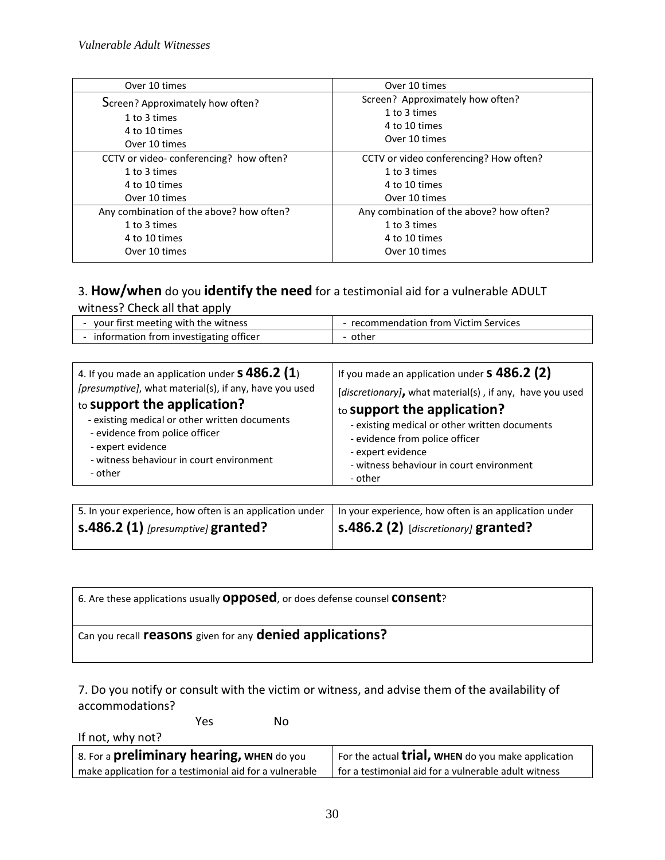| Over 10 times                            | Over 10 times                            |
|------------------------------------------|------------------------------------------|
| Screen? Approximately how often?         | Screen? Approximately how often?         |
| 1 to 3 times                             | 1 to 3 times                             |
| 4 to 10 times                            | 4 to 10 times                            |
| Over 10 times                            | Over 10 times                            |
| CCTV or video-conferencing? how often?   | CCTV or video conferencing? How often?   |
| 1 to 3 times                             | 1 to 3 times                             |
| 4 to 10 times                            | 4 to 10 times                            |
| Over 10 times                            | Over 10 times                            |
| Any combination of the above? how often? | Any combination of the above? how often? |
| 1 to 3 times                             | 1 to 3 times                             |
| 4 to 10 times                            | 4 to 10 times                            |
| Over 10 times                            | Over 10 times                            |

# 3. **How/when** do you **identify the need** for a testimonial aid for a vulnerable ADULT

witness? Check all that apply

| your first meeting with the witness    | - recommendation from Victim Services |
|----------------------------------------|---------------------------------------|
| information from investigating officer | - other                               |

| 4. If you made an application under $\bf{S}$ 486.2 (1) | If you made an application under $s$ 486.2 (2)           |
|--------------------------------------------------------|----------------------------------------------------------|
| [presumptive], what material(s), if any, have you used | [discretionary], what material(s), if any, have you used |
| to support the application?                            | to support the application?                              |
| - existing medical or other written documents          | - existing medical or other written documents            |
| - evidence from police officer                         | - evidence from police officer                           |
| - expert evidence                                      | - expert evidence                                        |
| - witness behaviour in court environment               | - witness behaviour in court environment                 |
| - other                                                | - other                                                  |

| 5. In your experience, how often is an application under | In your experience, how often is an application under |
|----------------------------------------------------------|-------------------------------------------------------|
| $\sim$ 5.486.2 (1) [presumptive] granted?                | $\vert$ s.486.2 (2) [discretionary] granted?          |

#### 6. Are these applications usually **opposed**, or does defense counsel **consent**?

# Can you recall **reasons** given for any **denied applications?**

7. Do you notify or consult with the victim or witness, and advise them of the availability of accommodations?

**The State State State State State State State State State State State State State State State State State State** 

If not, why not?

| 8. For a <b>preliminary hearing, WHEN</b> do you        | For the actual $\text{trial}$ , WHEN do you make application |
|---------------------------------------------------------|--------------------------------------------------------------|
| make application for a testimonial aid for a vulnerable | l for a testimonial aid for a vulnerable adult witness       |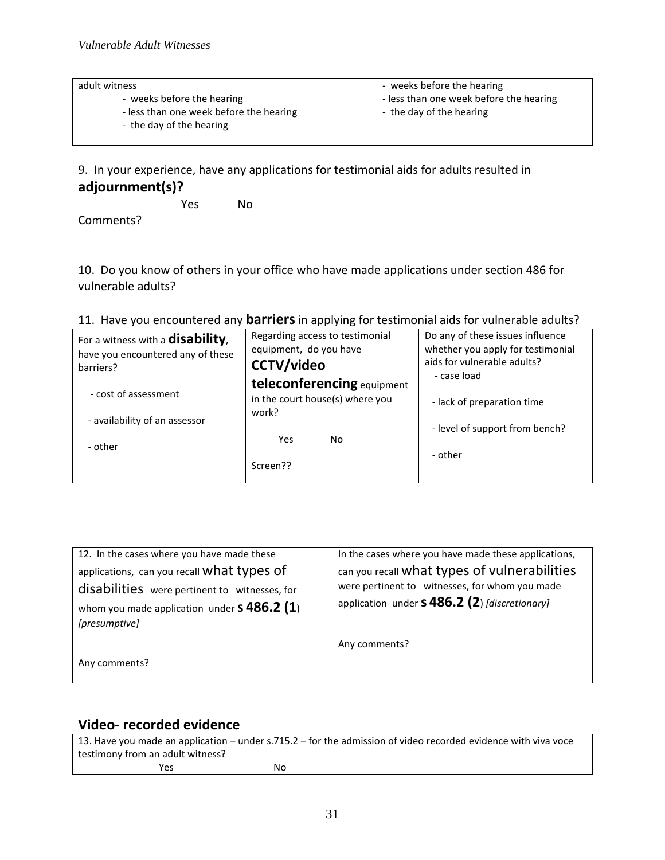| adult witness                                                         | - weeks before the hearing                                          |
|-----------------------------------------------------------------------|---------------------------------------------------------------------|
| - weeks before the hearing<br>- less than one week before the hearing | - less than one week before the hearing<br>- the day of the hearing |
| - the day of the hearing                                              |                                                                     |

9. In your experience, have any applications for testimonial aids for adults resulted in **adjournment(s)?**

Yes No

Comments?

10. Do you know of others in your office who have made applications under section 486 for vulnerable adults?

| For a witness with a <b>disability</b> , | Regarding access to testimonial | Do any of these issues influence  |
|------------------------------------------|---------------------------------|-----------------------------------|
| have you encountered any of these        | equipment, do you have          | whether you apply for testimonial |
| barriers?                                | <b>CCTV/video</b>               | aids for vulnerable adults?       |
|                                          | teleconferencing equipment      | - case load                       |
| - cost of assessment                     | in the court house(s) where you | - lack of preparation time        |
| - availability of an assessor            | work?                           |                                   |
|                                          |                                 | - level of support from bench?    |
| - other                                  | Yes<br>No.                      |                                   |
|                                          |                                 | - other                           |
|                                          | Screen??                        |                                   |
|                                          |                                 |                                   |

#### 11. Have you encountered any **barriers**in applying for testimonial aids for vulnerable adults?

| 12. In the cases where you have made these                          | In the cases where you have made these applications, |
|---------------------------------------------------------------------|------------------------------------------------------|
| applications, can you recall What types of                          | can you recall what types of vulnerabilities         |
| disabilities were pertinent to witnesses, for                       | were pertinent to witnesses, for whom you made       |
| whom you made application under $\bf{s}$ 486.2 (1)<br>[presumptive] | application under $s$ 486.2 (2) [discretionary]      |
|                                                                     | Any comments?                                        |
| Any comments?                                                       |                                                      |

# **Video- recorded evidence**

| 13. Have you made an application – under s.715.2 – for the admission of video recorded evidence with viva voce |    |  |
|----------------------------------------------------------------------------------------------------------------|----|--|
| testimony from an adult witness?                                                                               |    |  |
| Yes                                                                                                            | Nο |  |
|                                                                                                                |    |  |